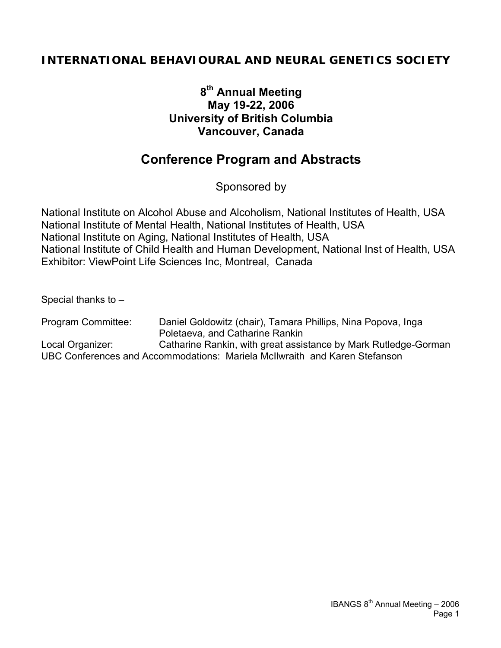## **INTERNATIONAL BEHAVIOURAL AND NEURAL GENETICS SOCIETY**

## **8th Annual Meeting May 19-22, 2006 University of British Columbia Vancouver, Canada**

## **Conference Program and Abstracts**

Sponsored by

National Institute on Alcohol Abuse and Alcoholism, National Institutes of Health, USA National Institute of Mental Health, National Institutes of Health, USA National Institute on Aging, National Institutes of Health, USA National Institute of Child Health and Human Development, National Inst of Health, USA Exhibitor: ViewPoint Life Sciences Inc, Montreal, Canada

Special thanks to –

Program Committee: Daniel Goldowitz (chair), Tamara Phillips, Nina Popova, Inga Poletaeva, and Catharine Rankin Local Organizer: Catharine Rankin, with great assistance by Mark Rutledge-Gorman UBC Conferences and Accommodations: Mariela McIlwraith and Karen Stefanson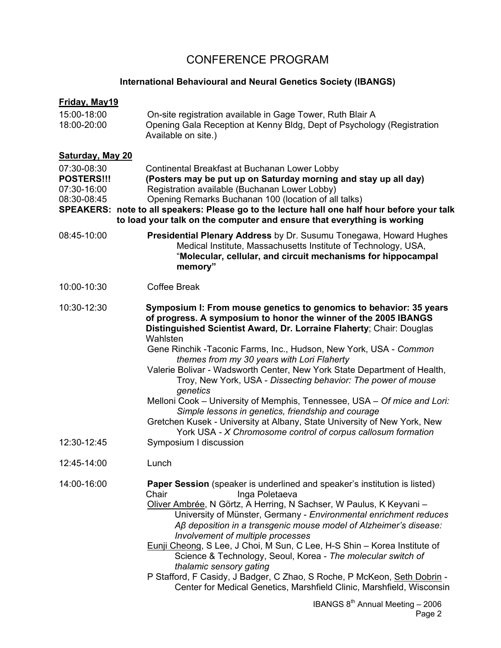## CONFERENCE PROGRAM

### **International Behavioural and Neural Genetics Society (IBANGS)**

| <b>Friday, May19</b>                                           |                                                                                                                                                                                                                                                                                                                                                                                                                                                                                                                                                                                                                                                                                                                                                                                                                |
|----------------------------------------------------------------|----------------------------------------------------------------------------------------------------------------------------------------------------------------------------------------------------------------------------------------------------------------------------------------------------------------------------------------------------------------------------------------------------------------------------------------------------------------------------------------------------------------------------------------------------------------------------------------------------------------------------------------------------------------------------------------------------------------------------------------------------------------------------------------------------------------|
| 15:00-18:00<br>18:00-20:00                                     | On-site registration available in Gage Tower, Ruth Blair A<br>Opening Gala Reception at Kenny Bldg, Dept of Psychology (Registration<br>Available on site.)                                                                                                                                                                                                                                                                                                                                                                                                                                                                                                                                                                                                                                                    |
| <b>Saturday, May 20</b>                                        |                                                                                                                                                                                                                                                                                                                                                                                                                                                                                                                                                                                                                                                                                                                                                                                                                |
| 07:30-08:30<br><b>POSTERS!!!</b><br>07:30-16:00<br>08:30-08:45 | Continental Breakfast at Buchanan Lower Lobby<br>(Posters may be put up on Saturday morning and stay up all day)<br>Registration available (Buchanan Lower Lobby)<br>Opening Remarks Buchanan 100 (location of all talks)<br>SPEAKERS: note to all speakers: Please go to the lecture hall one half hour before your talk<br>to load your talk on the computer and ensure that everything is working                                                                                                                                                                                                                                                                                                                                                                                                           |
| 08:45-10:00                                                    | Presidential Plenary Address by Dr. Susumu Tonegawa, Howard Hughes<br>Medical Institute, Massachusetts Institute of Technology, USA,<br>"Molecular, cellular, and circuit mechanisms for hippocampal<br>memory"                                                                                                                                                                                                                                                                                                                                                                                                                                                                                                                                                                                                |
| 10:00-10:30                                                    | <b>Coffee Break</b>                                                                                                                                                                                                                                                                                                                                                                                                                                                                                                                                                                                                                                                                                                                                                                                            |
| 10:30-12:30<br>12:30-12:45                                     | Symposium I: From mouse genetics to genomics to behavior: 35 years<br>of progress. A symposium to honor the winner of the 2005 IBANGS<br>Distinguished Scientist Award, Dr. Lorraine Flaherty; Chair: Douglas<br>Wahlsten<br>Gene Rinchik - Taconic Farms, Inc., Hudson, New York, USA - Common<br>themes from my 30 years with Lori Flaherty<br>Valerie Bolivar - Wadsworth Center, New York State Department of Health,<br>Troy, New York, USA - Dissecting behavior: The power of mouse<br>genetics<br>Melloni Cook - University of Memphis, Tennessee, USA - Of mice and Lori:<br>Simple lessons in genetics, friendship and courage<br>Gretchen Kusek - University at Albany, State University of New York, New<br>York USA - X Chromosome control of corpus callosum formation<br>Symposium I discussion |
| 12:45-14:00                                                    | Lunch                                                                                                                                                                                                                                                                                                                                                                                                                                                                                                                                                                                                                                                                                                                                                                                                          |
| 14:00-16:00                                                    | Paper Session (speaker is underlined and speaker's institution is listed)<br>Chair<br>Inga Poletaeva<br>Oliver Ambrée, N Görtz, A Herring, N Sachser, W Paulus, K Keyvani -<br>University of Münster, Germany - Environmental enrichment reduces<br>Aß deposition in a transgenic mouse model of Alzheimer's disease:<br>Involvement of multiple processes<br>Eunji Cheong, S Lee, J Choi, M Sun, C Lee, H-S Shin - Korea Institute of<br>Science & Technology, Seoul, Korea - The molecular switch of<br>thalamic sensory gating<br>P Stafford, F Casidy, J Badger, C Zhao, S Roche, P McKeon, Seth Dobrin -<br>Center for Medical Genetics, Marshfield Clinic, Marshfield, Wisconsin                                                                                                                         |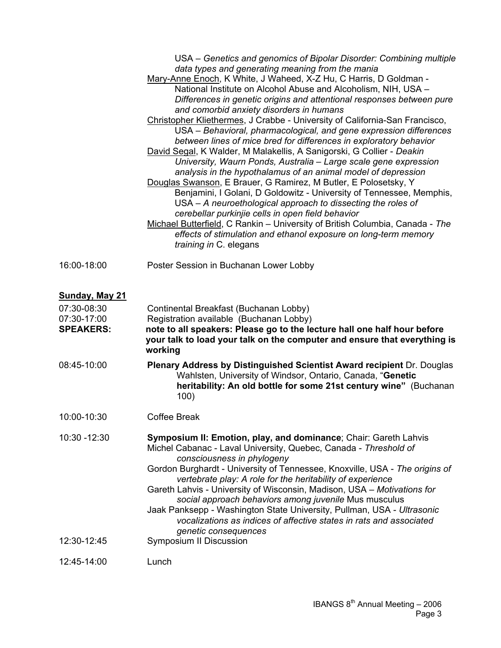|                                                                                 | USA – Genetics and genomics of Bipolar Disorder: Combining multiple<br>data types and generating meaning from the mania<br>Mary-Anne Enoch, K White, J Waheed, X-Z Hu, C Harris, D Goldman -<br>National Institute on Alcohol Abuse and Alcoholism, NIH, USA -<br>Differences in genetic origins and attentional responses between pure<br>and comorbid anxiety disorders in humans<br>Christopher Kliethermes, J Crabbe - University of California-San Francisco,<br>USA - Behavioral, pharmacological, and gene expression differences<br>between lines of mice bred for differences in exploratory behavior<br>David Segal, K Walder, M Malakellis, A Sanigorski, G Collier - Deakin<br>University, Waurn Ponds, Australia - Large scale gene expression<br>analysis in the hypothalamus of an animal model of depression<br>Douglas Swanson, E Brauer, G Ramirez, M Butler, E Polosetsky, Y<br>Benjamini, I Golani, D Goldowitz - University of Tennessee, Memphis,<br>USA - A neuroethological approach to dissecting the roles of<br>cerebellar purkinjie cells in open field behavior<br>Michael Butterfield, C Rankin - University of British Columbia, Canada - The<br>effects of stimulation and ethanol exposure on long-term memory<br>training in C. elegans |
|---------------------------------------------------------------------------------|---------------------------------------------------------------------------------------------------------------------------------------------------------------------------------------------------------------------------------------------------------------------------------------------------------------------------------------------------------------------------------------------------------------------------------------------------------------------------------------------------------------------------------------------------------------------------------------------------------------------------------------------------------------------------------------------------------------------------------------------------------------------------------------------------------------------------------------------------------------------------------------------------------------------------------------------------------------------------------------------------------------------------------------------------------------------------------------------------------------------------------------------------------------------------------------------------------------------------------------------------------------------------|
| 16:00-18:00                                                                     | Poster Session in Buchanan Lower Lobby                                                                                                                                                                                                                                                                                                                                                                                                                                                                                                                                                                                                                                                                                                                                                                                                                                                                                                                                                                                                                                                                                                                                                                                                                                    |
| Sunday, May 21<br>07:30-08:30<br>07:30-17:00<br><b>SPEAKERS:</b><br>08:45-10:00 | Continental Breakfast (Buchanan Lobby)<br>Registration available (Buchanan Lobby)<br>note to all speakers: Please go to the lecture hall one half hour before<br>your talk to load your talk on the computer and ensure that everything is<br>working<br>Plenary Address by Distinguished Scientist Award recipient Dr. Douglas<br>Wahlsten, University of Windsor, Ontario, Canada, "Genetic<br>heritability: An old bottle for some 21st century wine" (Buchanan                                                                                                                                                                                                                                                                                                                                                                                                                                                                                                                                                                                                                                                                                                                                                                                                        |
| 10:00-10:30                                                                     | 100)<br><b>Coffee Break</b>                                                                                                                                                                                                                                                                                                                                                                                                                                                                                                                                                                                                                                                                                                                                                                                                                                                                                                                                                                                                                                                                                                                                                                                                                                               |
| 10:30 - 12:30                                                                   | Symposium II: Emotion, play, and dominance; Chair: Gareth Lahvis<br>Michel Cabanac - Laval University, Quebec, Canada - Threshold of<br>consciousness in phylogeny<br>Gordon Burghardt - University of Tennessee, Knoxville, USA - The origins of<br>vertebrate play: A role for the heritability of experience<br>Gareth Lahvis - University of Wisconsin, Madison, USA - Motivations for<br>social approach behaviors among juvenile Mus musculus<br>Jaak Panksepp - Washington State University, Pullman, USA - Ultrasonic<br>vocalizations as indices of affective states in rats and associated<br>genetic consequences                                                                                                                                                                                                                                                                                                                                                                                                                                                                                                                                                                                                                                              |
| 12:30-12:45                                                                     | Symposium II Discussion                                                                                                                                                                                                                                                                                                                                                                                                                                                                                                                                                                                                                                                                                                                                                                                                                                                                                                                                                                                                                                                                                                                                                                                                                                                   |
| 12:45-14:00                                                                     | Lunch                                                                                                                                                                                                                                                                                                                                                                                                                                                                                                                                                                                                                                                                                                                                                                                                                                                                                                                                                                                                                                                                                                                                                                                                                                                                     |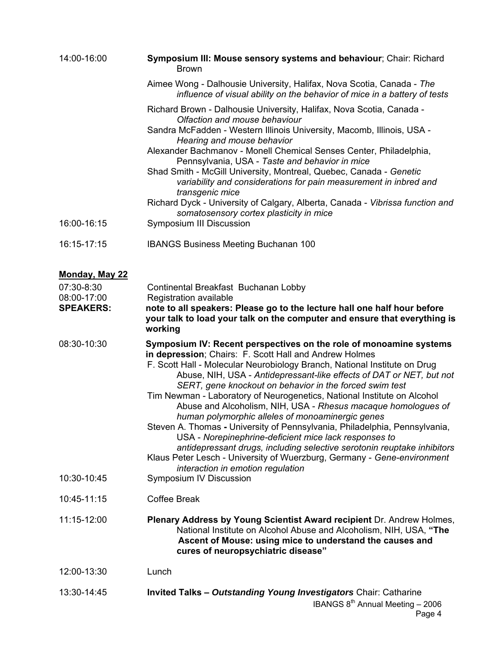| 14:00-16:00               | Symposium III: Mouse sensory systems and behaviour; Chair: Richard<br><b>Brown</b>                                                                                                                                                                                                                                                                                                                                                                                                                                                           |
|---------------------------|----------------------------------------------------------------------------------------------------------------------------------------------------------------------------------------------------------------------------------------------------------------------------------------------------------------------------------------------------------------------------------------------------------------------------------------------------------------------------------------------------------------------------------------------|
|                           | Aimee Wong - Dalhousie University, Halifax, Nova Scotia, Canada - The<br>influence of visual ability on the behavior of mice in a battery of tests                                                                                                                                                                                                                                                                                                                                                                                           |
|                           | Richard Brown - Dalhousie University, Halifax, Nova Scotia, Canada -<br>Olfaction and mouse behaviour                                                                                                                                                                                                                                                                                                                                                                                                                                        |
|                           | Sandra McFadden - Western Illinois University, Macomb, Illinois, USA -<br>Hearing and mouse behavior                                                                                                                                                                                                                                                                                                                                                                                                                                         |
|                           | Alexander Bachmanov - Monell Chemical Senses Center, Philadelphia,<br>Pennsylvania, USA - Taste and behavior in mice<br>Shad Smith - McGill University, Montreal, Quebec, Canada - Genetic<br>variability and considerations for pain measurement in inbred and                                                                                                                                                                                                                                                                              |
|                           | transgenic mice<br>Richard Dyck - University of Calgary, Alberta, Canada - Vibrissa function and<br>somatosensory cortex plasticity in mice                                                                                                                                                                                                                                                                                                                                                                                                  |
| 16:00-16:15               | <b>Symposium III Discussion</b>                                                                                                                                                                                                                                                                                                                                                                                                                                                                                                              |
| 16:15-17:15               | <b>IBANGS Business Meeting Buchanan 100</b>                                                                                                                                                                                                                                                                                                                                                                                                                                                                                                  |
| <b>Monday, May 22</b>     |                                                                                                                                                                                                                                                                                                                                                                                                                                                                                                                                              |
| 07:30-8:30<br>08:00-17:00 | Continental Breakfast Buchanan Lobby<br>Registration available                                                                                                                                                                                                                                                                                                                                                                                                                                                                               |
| <b>SPEAKERS:</b>          | note to all speakers: Please go to the lecture hall one half hour before<br>your talk to load your talk on the computer and ensure that everything is<br>working                                                                                                                                                                                                                                                                                                                                                                             |
| 08:30-10:30               | Symposium IV: Recent perspectives on the role of monoamine systems<br>in depression; Chairs: F. Scott Hall and Andrew Holmes<br>F. Scott Hall - Molecular Neurobiology Branch, National Institute on Drug<br>Abuse, NIH, USA - Antidepressant-like effects of DAT or NET, but not<br>SERT, gene knockout on behavior in the forced swim test<br>Tim Newman - Laboratory of Neurogenetics, National Institute on Alcohol<br>Abuse and Alcoholism, NIH, USA - Rhesus macaque homologues of<br>human polymorphic alleles of monoaminergic genes |
|                           | Steven A. Thomas - University of Pennsylvania, Philadelphia, Pennsylvania,<br>USA - Norepinephrine-deficient mice lack responses to<br>antidepressant drugs, including selective serotonin reuptake inhibitors<br>Klaus Peter Lesch - University of Wuerzburg, Germany - Gene-environment                                                                                                                                                                                                                                                    |
| 10:30-10:45               | interaction in emotion regulation<br>Symposium IV Discussion                                                                                                                                                                                                                                                                                                                                                                                                                                                                                 |
| 10:45-11:15               | <b>Coffee Break</b>                                                                                                                                                                                                                                                                                                                                                                                                                                                                                                                          |
| 11:15-12:00               | Plenary Address by Young Scientist Award recipient Dr. Andrew Holmes,<br>National Institute on Alcohol Abuse and Alcoholism, NIH, USA, "The<br>Ascent of Mouse: using mice to understand the causes and<br>cures of neuropsychiatric disease"                                                                                                                                                                                                                                                                                                |
| 12:00-13:30               | Lunch                                                                                                                                                                                                                                                                                                                                                                                                                                                                                                                                        |
| 13:30-14:45               |                                                                                                                                                                                                                                                                                                                                                                                                                                                                                                                                              |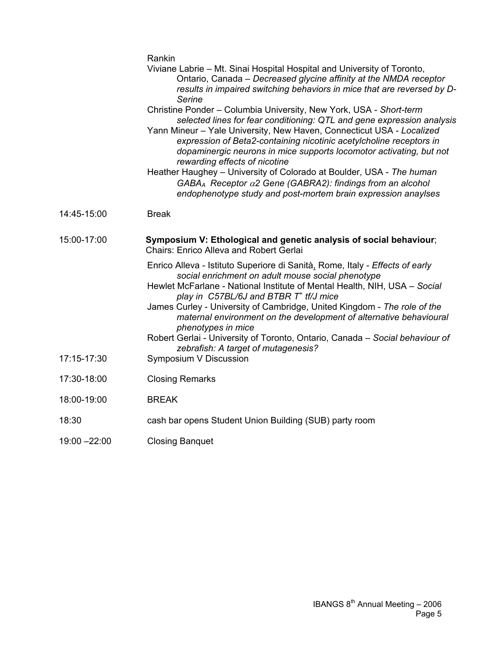|               | Rankin<br>Viviane Labrie - Mt. Sinai Hospital Hospital and University of Toronto,<br>Ontario, Canada - Decreased glycine affinity at the NMDA receptor<br>results in impaired switching behaviors in mice that are reversed by D-<br>Serine<br>Christine Ponder - Columbia University, New York, USA - Short-term<br>selected lines for fear conditioning: QTL and gene expression analysis<br>Yann Mineur - Yale University, New Haven, Connecticut USA - Localized<br>expression of Beta2-containing nicotinic acetylcholine receptors in<br>dopaminergic neurons in mice supports locomotor activating, but not |
|---------------|--------------------------------------------------------------------------------------------------------------------------------------------------------------------------------------------------------------------------------------------------------------------------------------------------------------------------------------------------------------------------------------------------------------------------------------------------------------------------------------------------------------------------------------------------------------------------------------------------------------------|
|               | rewarding effects of nicotine<br>Heather Haughey - University of Colorado at Boulder, USA - The human<br>$GABA_A$ Receptor $\alpha$ 2 Gene (GABRA2): findings from an alcohol<br>endophenotype study and post-mortem brain expression anaylses                                                                                                                                                                                                                                                                                                                                                                     |
| 14:45-15:00   | <b>Break</b>                                                                                                                                                                                                                                                                                                                                                                                                                                                                                                                                                                                                       |
| 15:00-17:00   | Symposium V: Ethological and genetic analysis of social behaviour;<br><b>Chairs: Enrico Alleva and Robert Gerlai</b>                                                                                                                                                                                                                                                                                                                                                                                                                                                                                               |
|               | Enrico Alleva - Istituto Superiore di Sanità, Rome, Italy - Effects of early<br>social enrichment on adult mouse social phenotype<br>Hewlet McFarlane - National Institute of Mental Health, NIH, USA - Social<br>play in $C57BL/6J$ and BTBR $T^+$ tf/J mice<br>James Curley - University of Cambridge, United Kingdom - The role of the<br>maternal environment on the development of alternative behavioural<br>phenotypes in mice<br>Robert Gerlai - University of Toronto, Ontario, Canada - Social behaviour of<br>zebrafish: A target of mutagenesis?                                                       |
| 17:15-17:30   | Symposium V Discussion                                                                                                                                                                                                                                                                                                                                                                                                                                                                                                                                                                                             |
| 17:30-18:00   | <b>Closing Remarks</b>                                                                                                                                                                                                                                                                                                                                                                                                                                                                                                                                                                                             |
| 18:00-19:00   | <b>BREAK</b>                                                                                                                                                                                                                                                                                                                                                                                                                                                                                                                                                                                                       |
| 18:30         | cash bar opens Student Union Building (SUB) party room                                                                                                                                                                                                                                                                                                                                                                                                                                                                                                                                                             |
| 19:00 - 22:00 | <b>Closing Banquet</b>                                                                                                                                                                                                                                                                                                                                                                                                                                                                                                                                                                                             |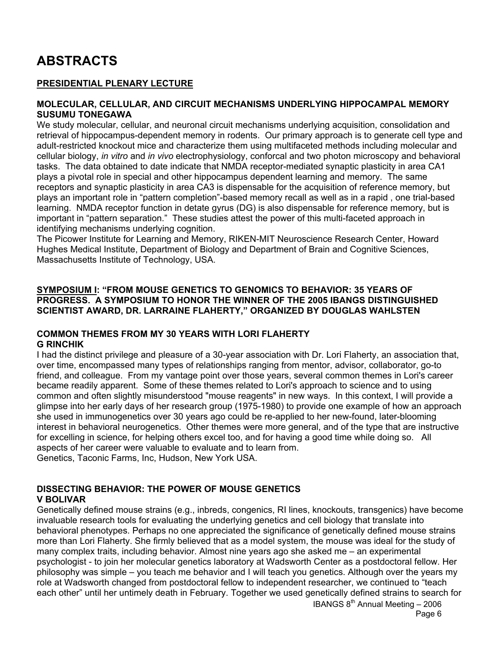# **ABSTRACTS**

### **PRESIDENTIAL PLENARY LECTURE**

#### **MOLECULAR, CELLULAR, AND CIRCUIT MECHANISMS UNDERLYING HIPPOCAMPAL MEMORY SUSUMU TONEGAWA**

We study molecular, cellular, and neuronal circuit mechanisms underlying acquisition, consolidation and retrieval of hippocampus-dependent memory in rodents. Our primary approach is to generate cell type and adult-restricted knockout mice and characterize them using multifaceted methods including molecular and cellular biology, *in vitro* and *in vivo* electrophysiology, conforcal and two photon microscopy and behavioral tasks. The data obtained to date indicate that NMDA receptor-mediated synaptic plasticity in area CA1 plays a pivotal role in special and other hippocampus dependent learning and memory. The same receptors and synaptic plasticity in area CA3 is dispensable for the acquisition of reference memory, but plays an important role in "pattern completion"-based memory recall as well as in a rapid , one trial-based learning. NMDA receptor function in detate gyrus (DG) is also dispensable for reference memory, but is important in "pattern separation." These studies attest the power of this multi-faceted approach in identifying mechanisms underlying cognition.

The Picower Institute for Learning and Memory, RIKEN-MIT Neuroscience Research Center, Howard Hughes Medical Institute, Department of Biology and Department of Brain and Cognitive Sciences, Massachusetts Institute of Technology, USA.

#### **SYMPOSIUM I: "FROM MOUSE GENETICS TO GENOMICS TO BEHAVIOR: 35 YEARS OF PROGRESS. A SYMPOSIUM TO HONOR THE WINNER OF THE 2005 IBANGS DISTINGUISHED SCIENTIST AWARD, DR. LARRAINE FLAHERTY," ORGANIZED BY DOUGLAS WAHLSTEN**

#### **COMMON THEMES FROM MY 30 YEARS WITH LORI FLAHERTY G RINCHIK**

I had the distinct privilege and pleasure of a 30-year association with Dr. Lori Flaherty, an association that, over time, encompassed many types of relationships ranging from mentor, advisor, collaborator, go-to friend, and colleague. From my vantage point over those years, several common themes in Lori's career became readily apparent. Some of these themes related to Lori's approach to science and to using common and often slightly misunderstood "mouse reagents" in new ways. In this context, I will provide a glimpse into her early days of her research group (1975-1980) to provide one example of how an approach she used in immunogenetics over 30 years ago could be re-applied to her new-found, later-blooming interest in behavioral neurogenetics. Other themes were more general, and of the type that are instructive for excelling in science, for helping others excel too, and for having a good time while doing so. All aspects of her career were valuable to evaluate and to learn from. Genetics, Taconic Farms, Inc, Hudson, New York USA.

### **DISSECTING BEHAVIOR: THE POWER OF MOUSE GENETICS V BOLIVAR**

Genetically defined mouse strains (e.g., inbreds, congenics, RI lines, knockouts, transgenics) have become invaluable research tools for evaluating the underlying genetics and cell biology that translate into behavioral phenotypes. Perhaps no one appreciated the significance of genetically defined mouse strains more than Lori Flaherty. She firmly believed that as a model system, the mouse was ideal for the study of many complex traits, including behavior. Almost nine years ago she asked me – an experimental psychologist - to join her molecular genetics laboratory at Wadsworth Center as a postdoctoral fellow. Her philosophy was simple – you teach me behavior and I will teach you genetics. Although over the years my role at Wadsworth changed from postdoctoral fellow to independent researcher, we continued to "teach each other" until her untimely death in February. Together we used genetically defined strains to search for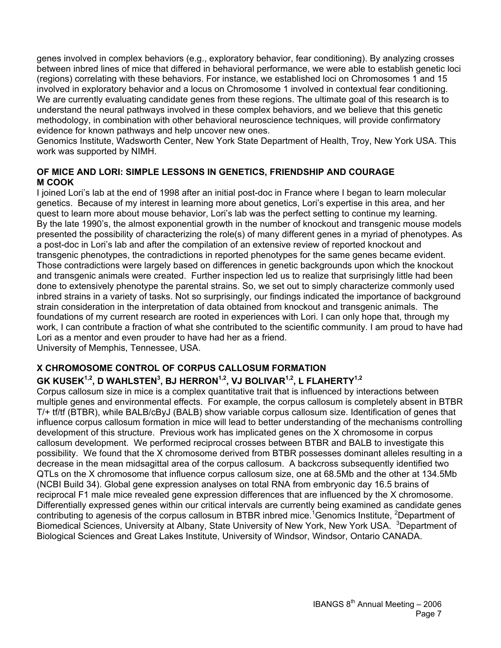genes involved in complex behaviors (e.g., exploratory behavior, fear conditioning). By analyzing crosses between inbred lines of mice that differed in behavioral performance, we were able to establish genetic loci (regions) correlating with these behaviors. For instance, we established loci on Chromosomes 1 and 15 involved in exploratory behavior and a locus on Chromosome 1 involved in contextual fear conditioning. We are currently evaluating candidate genes from these regions. The ultimate goal of this research is to understand the neural pathways involved in these complex behaviors, and we believe that this genetic methodology, in combination with other behavioral neuroscience techniques, will provide confirmatory evidence for known pathways and help uncover new ones.

Genomics Institute, Wadsworth Center, New York State Department of Health, Troy, New York USA. This work was supported by NIMH.

#### **OF MICE AND LORI: SIMPLE LESSONS IN GENETICS, FRIENDSHIP AND COURAGE M COOK**

I joined Lori's lab at the end of 1998 after an initial post-doc in France where I began to learn molecular genetics. Because of my interest in learning more about genetics, Lori's expertise in this area, and her quest to learn more about mouse behavior, Lori's lab was the perfect setting to continue my learning. By the late 1990's, the almost exponential growth in the number of knockout and transgenic mouse models presented the possibility of characterizing the role(s) of many different genes in a myriad of phenotypes. As a post-doc in Lori's lab and after the compilation of an extensive review of reported knockout and transgenic phenotypes, the contradictions in reported phenotypes for the same genes became evident. Those contradictions were largely based on differences in genetic backgrounds upon which the knockout and transgenic animals were created. Further inspection led us to realize that surprisingly little had been done to extensively phenotype the parental strains. So, we set out to simply characterize commonly used inbred strains in a variety of tasks. Not so surprisingly, our findings indicated the importance of background strain consideration in the interpretation of data obtained from knockout and transgenic animals. The foundations of my current research are rooted in experiences with Lori. I can only hope that, through my work, I can contribute a fraction of what she contributed to the scientific community. I am proud to have had Lori as a mentor and even prouder to have had her as a friend. University of Memphis, Tennessee, USA.

# **X CHROMOSOME CONTROL OF CORPUS CALLOSUM FORMATION**

### **GK KUSEK1,2, D WAHLSTEN3 , BJ HERRON1,2, VJ BOLIVAR1,2, L FLAHERTY1,2**

Corpus callosum size in mice is a complex quantitative trait that is influenced by interactions between multiple genes and environmental effects. For example, the corpus callosum is completely absent in BTBR T/+ tf/tf (BTBR), while BALB/cByJ (BALB) show variable corpus callosum size. Identification of genes that influence corpus callosum formation in mice will lead to better understanding of the mechanisms controlling development of this structure. Previous work has implicated genes on the X chromosome in corpus callosum development. We performed reciprocal crosses between BTBR and BALB to investigate this possibility. We found that the X chromosome derived from BTBR possesses dominant alleles resulting in a decrease in the mean midsagittal area of the corpus callosum. A backcross subsequently identified two QTLs on the X chromosome that influence corpus callosum size, one at 68.5Mb and the other at 134.5Mb (NCBI Build 34). Global gene expression analyses on total RNA from embryonic day 16.5 brains of reciprocal F1 male mice revealed gene expression differences that are influenced by the X chromosome. Differentially expressed genes within our critical intervals are currently being examined as candidate genes contributing to agenesis of the corpus callosum in BTBR inbred mice.<sup>1</sup>Genomics Institute, <sup>2</sup>Department of Biomedical Sciences, University at Albany, State University of New York, New York USA. <sup>3</sup>Department of Biological Sciences and Great Lakes Institute, University of Windsor, Windsor, Ontario CANADA.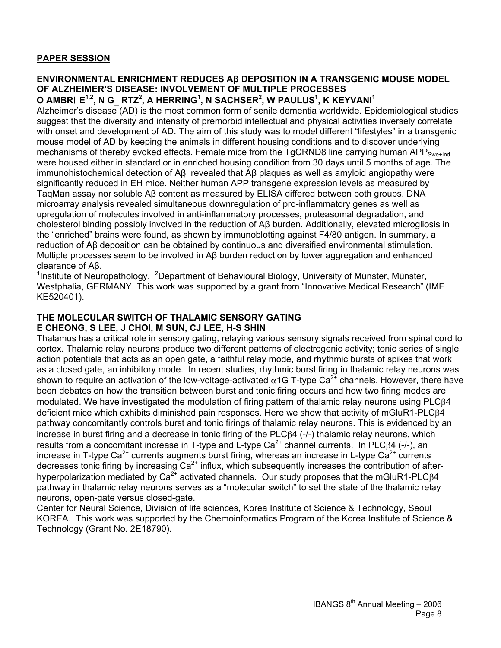### **PAPER SESSION**

## **ENVIRONMENTAL ENRICHMENT REDUCES Aβ DEPOSITION IN A TRANSGENIC MOUSE MODEL OF ALZHEIMER'S DISEASE: INVOLVEMENT OF MULTIPLE PROCESSES**

**O AMBR**I**E1,2, N G**\_**RTZ<sup>2</sup> , A HERRING1 , N SACHSER2 , W PAULUS1 , K KEYVANI<sup>1</sup>** Alzheimer's disease (AD) is the most common form of senile dementia worldwide. Epidemiological studies suggest that the diversity and intensity of premorbid intellectual and physical activities inversely correlate with onset and development of AD. The aim of this study was to model different "lifestyles" in a transgenic mouse model of AD by keeping the animals in different housing conditions and to discover underlying mechanisms of thereby evoked effects. Female mice from the TgCRND8 line carrying human APP<sub>Swe+lnd</sub> were housed either in standard or in enriched housing condition from 30 days until 5 months of age. The immunohistochemical detection of Aβ revealed that Aβ plaques as well as amyloid angiopathy were significantly reduced in EH mice. Neither human APP transgene expression levels as measured by TaqMan assay nor soluble Aβ content as measured by ELISA differed between both groups. DNA microarray analysis revealed simultaneous downregulation of pro-inflammatory genes as well as upregulation of molecules involved in anti-inflammatory processes, proteasomal degradation, and cholesterol binding possibly involved in the reduction of Aβ burden. Additionally, elevated microgliosis in the "enriched" brains were found, as shown by immunoblotting against F4/80 antigen. In summary, a reduction of Aβ deposition can be obtained by continuous and diversified environmental stimulation. Multiple processes seem to be involved in Aβ burden reduction by lower aggregation and enhanced clearance of Aβ. 1

Institute of Neuropathology, <sup>2</sup>Department of Behavioural Biology, University of Münster, Münster, Westphalia, GERMANY. This work was supported by a grant from "Innovative Medical Research" (IMF KE520401).

## **THE MOLECULAR SWITCH OF THALAMIC SENSORY GATING**

### **E CHEONG, S LEE, J CHOI, M SUN, CJ LEE, H-S SHIN**

Thalamus has a critical role in sensory gating, relaying various sensory signals received from spinal cord to cortex. Thalamic relay neurons produce two different patterns of electrogenic activity; tonic series of single action potentials that acts as an open gate, a faithful relay mode, and rhythmic bursts of spikes that work as a closed gate, an inhibitory mode. In recent studies, rhythmic burst firing in thalamic relay neurons was shown to require an activation of the low-voltage-activated  $\alpha$ 1G T-type Ca<sup>2+</sup> channels. However, there have been debates on how the transition between burst and tonic firing occurs and how two firing modes are modulated. We have investigated the modulation of firing pattern of thalamic relay neurons using PLCβ4 deficient mice which exhibits diminished pain responses. Here we show that activity of mGluR1-PLCβ4 pathway concomitantly controls burst and tonic firings of thalamic relay neurons. This is evidenced by an increase in burst firing and a decrease in tonic firing of the PLCβ4 (-/-) thalamic relay neurons, which results from a concomitant increase in T-type and L-type Ca<sup>2+</sup> channel currents. In PLCβ4 (-/-), an increase in T-type Ca<sup>2+</sup> currents augments burst firing, whereas an increase in L-type Ca<sup>2+</sup> currents decreases tonic firing by increasing Ca<sup>2+</sup> influx, which subsequently increases the contribution of afterhyperpolarization mediated by  $Ca^{2+}$  activated channels. Our study proposes that the mGluR1-PLC $\beta$ 4 pathway in thalamic relay neurons serves as a "molecular switch" to set the state of the thalamic relay neurons, open-gate versus closed-gate.

Center for Neural Science, Division of life sciences, Korea Institute of Science & Technology, Seoul KOREA. This work was supported by the Chemoinformatics Program of the Korea Institute of Science & Technology (Grant No. 2E18790).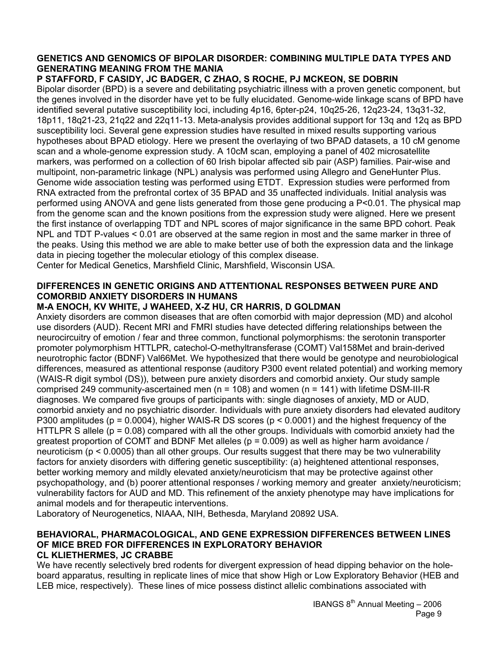### **GENETICS AND GENOMICS OF BIPOLAR DISORDER: COMBINING MULTIPLE DATA TYPES AND GENERATING MEANING FROM THE MANIA**

### **P STAFFORD, F CASIDY, JC BADGER, C ZHAO, S ROCHE, PJ MCKEON, SE DOBRIN**

Bipolar disorder (BPD) is a severe and debilitating psychiatric illness with a proven genetic component, but the genes involved in the disorder have yet to be fully elucidated. Genome-wide linkage scans of BPD have identified several putative susceptibility loci, including 4p16, 6pter-p24, 10q25-26, 12q23-24, 13q31-32, 18p11, 18q21-23, 21q22 and 22q11-13. Meta-analysis provides additional support for 13q and 12q as BPD susceptibility loci. Several gene expression studies have resulted in mixed results supporting various hypotheses about BPAD etiology. Here we present the overlaying of two BPAD datasets, a 10 cM genome scan and a whole-genome expression study. A 10cM scan, employing a panel of 402 microsatellite markers, was performed on a collection of 60 Irish bipolar affected sib pair (ASP) families. Pair-wise and multipoint, non-parametric linkage (NPL) analysis was performed using Allegro and GeneHunter Plus. Genome wide association testing was performed using ETDT. Expression studies were performed from RNA extracted from the prefrontal cortex of 35 BPAD and 35 unaffected individuals. Initial analysis was performed using ANOVA and gene lists generated from those gene producing a P<0.01. The physical map from the genome scan and the known positions from the expression study were aligned. Here we present the first instance of overlapping TDT and NPL scores of major significance in the same BPD cohort. Peak NPL and TDT P-values < 0.01 are observed at the same region in most and the same marker in three of the peaks. Using this method we are able to make better use of both the expression data and the linkage data in piecing together the molecular etiology of this complex disease.

Center for Medical Genetics, Marshfield Clinic, Marshfield, Wisconsin USA.

### **DIFFERENCES IN GENETIC ORIGINS AND ATTENTIONAL RESPONSES BETWEEN PURE AND COMORBID ANXIETY DISORDERS IN HUMANS**

### **M-A ENOCH, KV WHITE, J WAHEED, X-Z HU, CR HARRIS, D GOLDMAN**

Anxiety disorders are common diseases that are often comorbid with major depression (MD) and alcohol use disorders (AUD). Recent MRI and FMRI studies have detected differing relationships between the neurocircuitry of emotion / fear and three common, functional polymorphisms: the serotonin transporter promoter polymorphism HTTLPR, catechol-O-methyltransferase (COMT) Val158Met and brain-derived neurotrophic factor (BDNF) Val66Met. We hypothesized that there would be genotype and neurobiological differences, measured as attentional response (auditory P300 event related potential) and working memory (WAIS-R digit symbol (DS)), between pure anxiety disorders and comorbid anxiety. Our study sample comprised 249 community-ascertained men ( $n = 108$ ) and women ( $n = 141$ ) with lifetime DSM-III-R diagnoses. We compared five groups of participants with: single diagnoses of anxiety, MD or AUD, comorbid anxiety and no psychiatric disorder. Individuals with pure anxiety disorders had elevated auditory P300 amplitudes (p = 0.0004), higher WAIS-R DS scores (p < 0.0001) and the highest frequency of the HTTLPR S allele (p = 0.08) compared with all the other groups. Individuals with comorbid anxiety had the greatest proportion of COMT and BDNF Met alleles ( $p = 0.009$ ) as well as higher harm avoidance / neuroticism (p < 0.0005) than all other groups. Our results suggest that there may be two vulnerability factors for anxiety disorders with differing genetic susceptibility: (a) heightened attentional responses, better working memory and mildly elevated anxiety/neuroticism that may be protective against other psychopathology, and (b) poorer attentional responses / working memory and greater anxiety/neuroticism; vulnerability factors for AUD and MD. This refinement of the anxiety phenotype may have implications for animal models and for therapeutic interventions.

Laboratory of Neurogenetics, NIAAA, NIH, Bethesda, Maryland 20892 USA.

#### **BEHAVIORAL, PHARMACOLOGICAL, AND GENE EXPRESSION DIFFERENCES BETWEEN LINES OF MICE BRED FOR DIFFERENCES IN EXPLORATORY BEHAVIOR CL KLIETHERMES, JC CRABBE**

We have recently selectively bred rodents for divergent expression of head dipping behavior on the holeboard apparatus, resulting in replicate lines of mice that show High or Low Exploratory Behavior (HEB and LEB mice, respectively). These lines of mice possess distinct allelic combinations associated with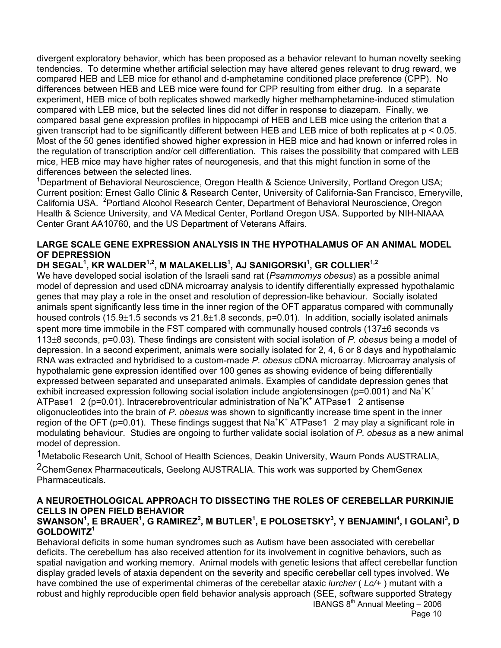divergent exploratory behavior, which has been proposed as a behavior relevant to human novelty seeking tendencies. To determine whether artificial selection may have altered genes relevant to drug reward, we compared HEB and LEB mice for ethanol and d-amphetamine conditioned place preference (CPP). No differences between HEB and LEB mice were found for CPP resulting from either drug. In a separate experiment, HEB mice of both replicates showed markedly higher methamphetamine-induced stimulation compared with LEB mice, but the selected lines did not differ in response to diazepam. Finally, we compared basal gene expression profiles in hippocampi of HEB and LEB mice using the criterion that a given transcript had to be significantly different between HEB and LEB mice of both replicates at p < 0.05. Most of the 50 genes identified showed higher expression in HEB mice and had known or inferred roles in the regulation of transcription and/or cell differentiation. This raises the possibility that compared with LEB mice, HEB mice may have higher rates of neurogenesis, and that this might function in some of the differences between the selected lines.

<sup>1</sup>Department of Behavioral Neuroscience, Oregon Health & Science University, Portland Oregon USA; Current position: Ernest Gallo Clinic & Research Center, University of California-San Francisco, Emeryville, California USA. <sup>2</sup> Portland Alcohol Research Center, Department of Behavioral Neuroscience, Oregon Health & Science University, and VA Medical Center, Portland Oregon USA. Supported by NIH-NIAAA Center Grant AA10760, and the US Department of Veterans Affairs.

### **LARGE SCALE GENE EXPRESSION ANALYSIS IN THE HYPOTHALAMUS OF AN ANIMAL MODEL OF DEPRESSION**

### **DH SEGAL<sup>1</sup> , KR WALDER1,2, M MALAKELLIS1 , AJ SANIGORSKI<sup>1</sup> , GR COLLIER1,2**

We have developed social isolation of the Israeli sand rat (*Psammomys obesus*) as a possible animal model of depression and used cDNA microarray analysis to identify differentially expressed hypothalamic genes that may play a role in the onset and resolution of depression-like behaviour. Socially isolated animals spent significantly less time in the inner region of the OFT apparatus compared with communally housed controls (15.9 $\pm$ 1.5 seconds vs 21.8 $\pm$ 1.8 seconds, p=0.01). In addition, socially isolated animals spent more time immobile in the FST compared with communally housed controls (137±6 seconds vs 113±8 seconds, p=0.03). These findings are consistent with social isolation of *P. obesus* being a model of depression. In a second experiment, animals were socially isolated for 2, 4, 6 or 8 days and hypothalamic RNA was extracted and hybridised to a custom-made *P. obesus* cDNA microarray. Microarray analysis of hypothalamic gene expression identified over 100 genes as showing evidence of being differentially expressed between separated and unseparated animals. Examples of candidate depression genes that exhibit increased expression following social isolation include angiotensinogen (p=0.001) and Na<sup>+</sup>K<sup>+</sup> ATPase1 2 (p=0.01). Intracerebroventricular administration of  $Na<sup>+</sup>K<sup>+</sup> ATPase1<sup>-</sup> 2$  antisense oligonucleotides into the brain of *P. obesus* was shown to significantly increase time spent in the inner region of the OFT (p=0.01). These findings suggest that Na<sup>+</sup>K<sup>+</sup> ATPase1 2 may play a significant role in modulating behaviour. Studies are ongoing to further validate social isolation of *P. obesus* as a new animal model of depression.

<sup>1</sup> Metabolic Research Unit, School of Health Sciences, Deakin University, Waurn Ponds AUSTRALIA, <sup>2</sup>ChemGenex Pharmaceuticals, Geelong AUSTRALIA. This work was supported by ChemGenex **Pharmaceuticals** 

## **A NEUROETHOLOGICAL APPROACH TO DISSECTING THE ROLES OF CEREBELLAR PURKINJIE CELLS IN OPEN FIELD BEHAVIOR**

### $\mathbf{SWMNSON}^1$ , E BRAUER $^1$ , G RAMIREZ $^2$ , M BUTLER $^1$ , E POLOSETSKY $^3$ , Y BENJAMINI $^4$ , I GOLANI $^3$ , D **GOLDOWITZ<sup>1</sup>**

IBANGS 8th Annual Meeting – 2006 Behavioral deficits in some human syndromes such as Autism have been associated with cerebellar deficits. The cerebellum has also received attention for its involvement in cognitive behaviors, such as spatial navigation and working memory. Animal models with genetic lesions that affect cerebellar function display graded levels of ataxia dependent on the severity and specific cerebellar cell types involved. We have combined the use of experimental chimeras of the cerebellar ataxic *lurcher* ( *Lc/+* ) mutant with a robust and highly reproducible open field behavior analysis approach (SEE, software supported Strategy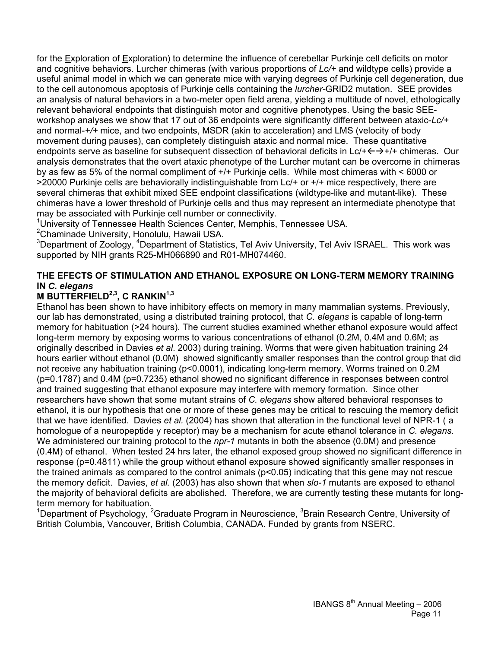for the Exploration of Exploration) to determine the influence of cerebellar Purkinje cell deficits on motor and cognitive behaviors. Lurcher chimeras (with various proportions of *Lc/+* and wildtype cells) provide a useful animal model in which we can generate mice with varying degrees of Purkinje cell degeneration, due to the cell autonomous apoptosis of Purkinje cells containing the *lurcher-*GRID2 mutation. SEE provides an analysis of natural behaviors in a two-meter open field arena, yielding a multitude of novel, ethologically relevant behavioral endpoints that distinguish motor and cognitive phenotypes. Using the basic SEEworkshop analyses we show that 17 out of 36 endpoints were significantly different between ataxic-*Lc/+*  and normal-*+/+* mice, and two endpoints, MSDR (akin to acceleration) and LMS (velocity of body movement during pauses), can completely distinguish ataxic and normal mice. These quantitative endpoints serve as baseline for subsequent dissection of behavioral deficits in Lc/+ $\leftrightarrow$ +/+ chimeras. Our analysis demonstrates that the overt ataxic phenotype of the Lurcher mutant can be overcome in chimeras by as few as 5% of the normal compliment of +/+ Purkinje cells. While most chimeras with < 6000 or >20000 Purkinje cells are behaviorally indistinguishable from Lc/+ or +/+ mice respectively, there are several chimeras that exhibit mixed SEE endpoint classifications (wildtype-like and mutant-like). These chimeras have a lower threshold of Purkinje cells and thus may represent an intermediate phenotype that may be associated with Purkinje cell number or connectivity.

<sup>1</sup>University of Tennessee Health Sciences Center, Memphis, Tennessee USA.

2 Chaminade University, Honolulu, Hawaii USA.

<sup>3</sup>Department of Zoology, <sup>4</sup>Department of Statistics, Tel Aviv University, Tel Aviv ISRAEL. This work was supported by NIH grants R25-MH066890 and R01-MH074460.

### **THE EFECTS OF STIMULATION AND ETHANOL EXPOSURE ON LONG-TERM MEMORY TRAINING IN** *C. elegans*

### **M BUTTERFIELD<sup>2,3</sup>, C RANKIN<sup>1,3</sup>**

Ethanol has been shown to have inhibitory effects on memory in many mammalian systems. Previously, our lab has demonstrated, using a distributed training protocol, that *C. elegans* is capable of long-term memory for habituation (>24 hours). The current studies examined whether ethanol exposure would affect long-term memory by exposing worms to various concentrations of ethanol (0.2M, 0.4M and 0.6M; as originally described in Davies *et al*. 2003) during training. Worms that were given habituation training 24 hours earlier without ethanol (0.0M) showed significantly smaller responses than the control group that did not receive any habituation training (p<0.0001), indicating long-term memory. Worms trained on 0.2M (p=0.1787) and 0.4M (p=0.7235) ethanol showed no significant difference in responses between control and trained suggesting that ethanol exposure may interfere with memory formation. Since other researchers have shown that some mutant strains of *C. elegans* show altered behavioral responses to ethanol, it is our hypothesis that one or more of these genes may be critical to rescuing the memory deficit that we have identified. Davies *et al.* (2004) has shown that alteration in the functional level of NPR-1 ( a homologue of a neuropeptide y receptor) may be a mechanism for acute ethanol tolerance in *C. elegans.* We administered our training protocol to the *npr-1* mutants in both the absence (0.0M) and presence (0.4M) of ethanol. When tested 24 hrs later, the ethanol exposed group showed no significant difference in response (p=0.4811) while the group without ethanol exposure showed significantly smaller responses in the trained animals as compared to the control animals (p<0.05) indicating that this gene may not rescue the memory deficit. Davies, *et al.* (2003) has also shown that when *slo-1* mutants are exposed to ethanol the majority of behavioral deficits are abolished. Therefore, we are currently testing these mutants for longterm memory for habituation.

<sup>1</sup>Department of Psychology, <sup>2</sup>Graduate Program in Neuroscience, <sup>3</sup>Brain Research Centre, University of British Columbia, Vancouver, British Columbia, CANADA. Funded by grants from NSERC.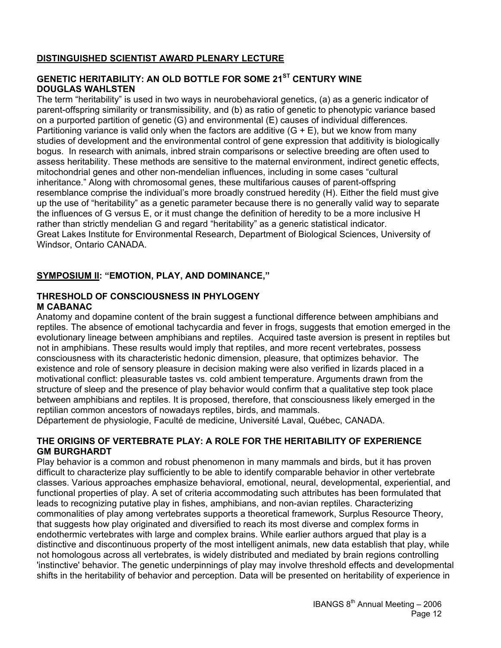### **DISTINGUISHED SCIENTIST AWARD PLENARY LECTURE**

### **GENETIC HERITABILITY: AN OLD BOTTLE FOR SOME 21ST CENTURY WINE DOUGLAS WAHLSTEN**

The term "heritability" is used in two ways in neurobehavioral genetics, (a) as a generic indicator of parent-offspring similarity or transmissibility, and (b) as ratio of genetic to phenotypic variance based on a purported partition of genetic (G) and environmental (E) causes of individual differences. Partitioning variance is valid only when the factors are additive  $(G + E)$ , but we know from many studies of development and the environmental control of gene expression that additivity is biologically bogus. In research with animals, inbred strain comparisons or selective breeding are often used to assess heritability. These methods are sensitive to the maternal environment, indirect genetic effects, mitochondrial genes and other non-mendelian influences, including in some cases "cultural inheritance." Along with chromosomal genes, these multifarious causes of parent-offspring resemblance comprise the individual's more broadly construed heredity (H). Either the field must give up the use of "heritability" as a genetic parameter because there is no generally valid way to separate the influences of G versus E, or it must change the definition of heredity to be a more inclusive H rather than strictly mendelian G and regard "heritability" as a generic statistical indicator. Great Lakes Institute for Environmental Research, Department of Biological Sciences, University of Windsor, Ontario CANADA.

### **SYMPOSIUM II: "EMOTION, PLAY, AND DOMINANCE,"**

#### **THRESHOLD OF CONSCIOUSNESS IN PHYLOGENY M CABANAC**

Anatomy and dopamine content of the brain suggest a functional difference between amphibians and reptiles. The absence of emotional tachycardia and fever in frogs, suggests that emotion emerged in the evolutionary lineage between amphibians and reptiles. Acquired taste aversion is present in reptiles but not in amphibians. These results would imply that reptiles, and more recent vertebrates, possess consciousness with its characteristic hedonic dimension, pleasure, that optimizes behavior. The existence and role of sensory pleasure in decision making were also verified in lizards placed in a motivational conflict: pleasurable tastes vs. cold ambient temperature. Arguments drawn from the structure of sleep and the presence of play behavior would confirm that a qualitative step took place between amphibians and reptiles. It is proposed, therefore, that consciousness likely emerged in the reptilian common ancestors of nowadays reptiles, birds, and mammals.

Département de physiologie, Faculté de medicine, Université Laval, Québec, CANADA.

#### **THE ORIGINS OF VERTEBRATE PLAY: A ROLE FOR THE HERITABILITY OF EXPERIENCE GM BURGHARDT**

Play behavior is a common and robust phenomenon in many mammals and birds, but it has proven difficult to characterize play sufficiently to be able to identify comparable behavior in other vertebrate classes. Various approaches emphasize behavioral, emotional, neural, developmental, experiential, and functional properties of play. A set of criteria accommodating such attributes has been formulated that leads to recognizing putative play in fishes, amphibians, and non-avian reptiles. Characterizing commonalities of play among vertebrates supports a theoretical framework, Surplus Resource Theory, that suggests how play originated and diversified to reach its most diverse and complex forms in endothermic vertebrates with large and complex brains. While earlier authors argued that play is a distinctive and discontinuous property of the most intelligent animals, new data establish that play, while not homologous across all vertebrates, is widely distributed and mediated by brain regions controlling 'instinctive' behavior. The genetic underpinnings of play may involve threshold effects and developmental shifts in the heritability of behavior and perception. Data will be presented on heritability of experience in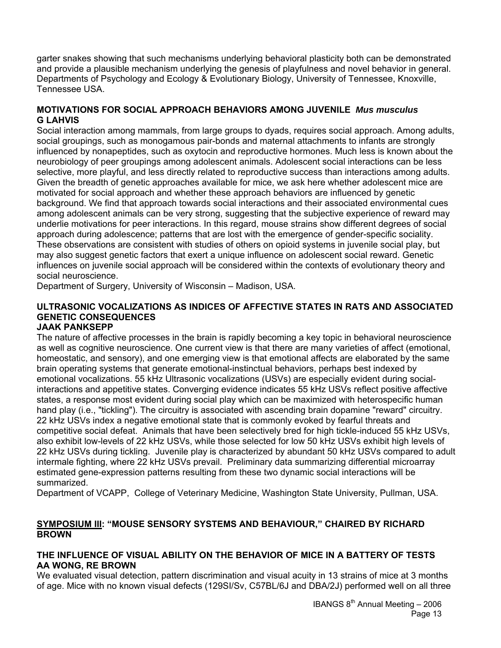garter snakes showing that such mechanisms underlying behavioral plasticity both can be demonstrated and provide a plausible mechanism underlying the genesis of playfulness and novel behavior in general. Departments of Psychology and Ecology & Evolutionary Biology, University of Tennessee, Knoxville, Tennessee USA.

### **MOTIVATIONS FOR SOCIAL APPROACH BEHAVIORS AMONG JUVENILE** *Mus musculus* **G LAHVIS**

Social interaction among mammals, from large groups to dyads, requires social approach. Among adults, social groupings, such as monogamous pair-bonds and maternal attachments to infants are strongly influenced by nonapeptides, such as oxytocin and reproductive hormones. Much less is known about the neurobiology of peer groupings among adolescent animals. Adolescent social interactions can be less selective, more playful, and less directly related to reproductive success than interactions among adults. Given the breadth of genetic approaches available for mice, we ask here whether adolescent mice are motivated for social approach and whether these approach behaviors are influenced by genetic background. We find that approach towards social interactions and their associated environmental cues among adolescent animals can be very strong, suggesting that the subjective experience of reward may underlie motivations for peer interactions. In this regard, mouse strains show different degrees of social approach during adolescence; patterns that are lost with the emergence of gender-specific sociality. These observations are consistent with studies of others on opioid systems in juvenile social play, but may also suggest genetic factors that exert a unique influence on adolescent social reward. Genetic influences on juvenile social approach will be considered within the contexts of evolutionary theory and social neuroscience.

Department of Surgery, University of Wisconsin – Madison, USA.

### **ULTRASONIC VOCALIZATIONS AS INDICES OF AFFECTIVE STATES IN RATS AND ASSOCIATED GENETIC CONSEQUENCES**

### **JAAK PANKSEPP**

The nature of affective processes in the brain is rapidly becoming a key topic in behavioral neuroscience as well as cognitive neuroscience. One current view is that there are many varieties of affect (emotional, homeostatic, and sensory), and one emerging view is that emotional affects are elaborated by the same brain operating systems that generate emotional-instinctual behaviors, perhaps best indexed by emotional vocalizations. 55 kHz Ultrasonic vocalizations (USVs) are especially evident during socialinteractions and appetitive states. Converging evidence indicates 55 kHz USVs reflect positive affective states, a response most evident during social play which can be maximized with heterospecific human hand play (i.e., "tickling"). The circuitry is associated with ascending brain dopamine "reward" circuitry. 22 kHz USVs index a negative emotional state that is commonly evoked by fearful threats and competitive social defeat. Animals that have been selectively bred for high tickle-induced 55 kHz USVs, also exhibit low-levels of 22 kHz USVs, while those selected for low 50 kHz USVs exhibit high levels of 22 kHz USVs during tickling. Juvenile play is characterized by abundant 50 kHz USVs compared to adult intermale fighting, where 22 kHz USVs prevail. Preliminary data summarizing differential microarray estimated gene-expression patterns resulting from these two dynamic social interactions will be summarized.

Department of VCAPP, College of Veterinary Medicine, Washington State University, Pullman, USA.

### **SYMPOSIUM III: "MOUSE SENSORY SYSTEMS AND BEHAVIOUR," CHAIRED BY RICHARD BROWN**

#### **THE INFLUENCE OF VISUAL ABILITY ON THE BEHAVIOR OF MICE IN A BATTERY OF TESTS AA WONG, RE BROWN**

We evaluated visual detection, pattern discrimination and visual acuity in 13 strains of mice at 3 months of age. Mice with no known visual defects (129SI/Sv, C57BL/6J and DBA/2J) performed well on all three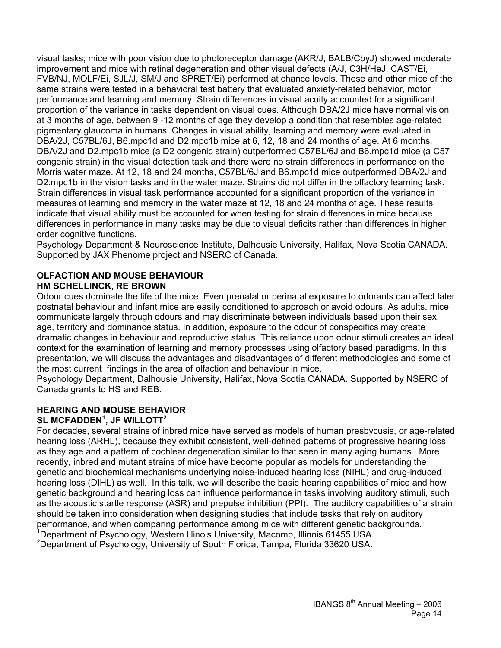visual tasks; mice with poor vision due to photoreceptor damage (AKR/J, BALB/CbyJ) showed moderate improvement and mice with retinal degeneration and other visual defects (A/J, C3H/HeJ, CAST/Ei, FVB/NJ, MOLF/Ei, SJL/J, SM/J and SPRET/Ei) performed at chance levels. These and other mice of the same strains were tested in a behavioral test battery that evaluated anxiety-related behavior, motor performance and learning and memory. Strain differences in visual acuity accounted for a significant proportion of the variance in tasks dependent on visual cues. Although DBA/2J mice have normal vision at 3 months of age, between 9 -12 months of age they develop a condition that resembles age-related pigmentary glaucoma in humans. Changes in visual ability, learning and memory were evaluated in DBA/2J, C57BL/6J, B6.mpc1d and D2.mpc1b mice at 6, 12, 18 and 24 months of age. At 6 months, DBA/2J and D2.mpc1b mice (a D2 congenic strain) outperformed C57BL/6J and B6.mpc1d mice (a C57 congenic strain) in the visual detection task and there were no strain differences in performance on the Morris water maze. At 12, 18 and 24 months, C57BL/6J and B6.mpc1d mice outperformed DBA/2J and D2.mpc1b in the vision tasks and in the water maze. Strains did not differ in the olfactory learning task. Strain differences in visual task performance accounted for a significant proportion of the variance in measures of learning and memory in the water maze at 12, 18 and 24 months of age. These results indicate that visual ability must be accounted for when testing for strain differences in mice because differences in performance in many tasks may be due to visual deficits rather than differences in higher order cognitive functions.

Psychology Department & Neuroscience Institute, Dalhousie University, Halifax, Nova Scotia CANADA. Supported by JAX Phenome project and NSERC of Canada.

#### **OLFACTION AND MOUSE BEHAVIOUR HM SCHELLINCK, RE BROWN**

Odour cues dominate the life of the mice. Even prenatal or perinatal exposure to odorants can affect later postnatal behaviour and infant mice are easily conditioned to approach or avoid odours. As adults, mice communicate largely through odours and may discriminate between individuals based upon their sex, age, territory and dominance status. In addition, exposure to the odour of conspecifics may create dramatic changes in behaviour and reproductive status. This reliance upon odour stimuli creates an ideal context for the examination of learning and memory processes using olfactory based paradigms. In this presentation, we will discuss the advantages and disadvantages of different methodologies and some of the most current findings in the area of olfaction and behaviour in mice.

Psychology Department, Dalhousie University, Halifax, Nova Scotia CANADA. Supported by NSERC of Canada grants to HS and REB.

#### **HEARING AND MOUSE BEHAVIOR**   $SL$  MCFADDEN $^1$ , JF WILLOTT $^2$

For decades, several strains of inbred mice have served as models of human presbycusis, or age-related hearing loss (ARHL), because they exhibit consistent, well-defined patterns of progressive hearing loss as they age and a pattern of cochlear degeneration similar to that seen in many aging humans. More recently, inbred and mutant strains of mice have become popular as models for understanding the genetic and biochemical mechanisms underlying noise-induced hearing loss (NIHL) and drug-induced hearing loss (DIHL) as well. In this talk, we will describe the basic hearing capabilities of mice and how genetic background and hearing loss can influence performance in tasks involving auditory stimuli, such as the acoustic startle response (ASR) and prepulse inhibition (PPI). The auditory capabilities of a strain should be taken into consideration when designing studies that include tasks that rely on auditory performance, and when comparing performance among mice with different genetic backgrounds. <sup>1</sup>Department of Psychology, Western Illinois University, Macomb, Illinois 61455 USA.

<sup>2</sup>Department of Psychology, University of South Florida, Tampa, Florida 33620 USA.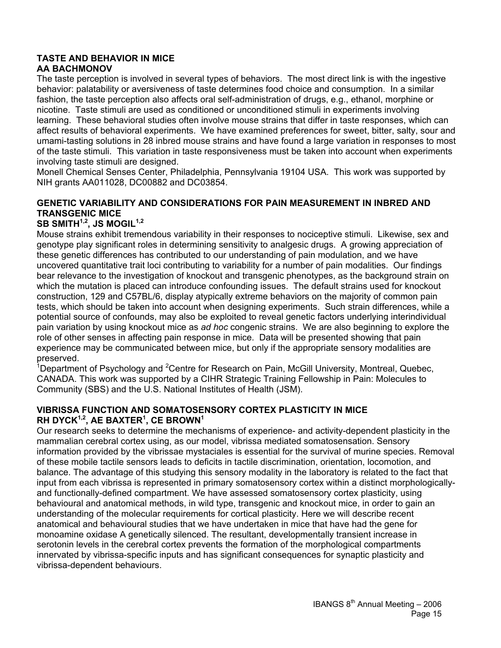#### **TASTE AND BEHAVIOR IN MICE AA BACHMONOV**

The taste perception is involved in several types of behaviors. The most direct link is with the ingestive behavior: palatability or aversiveness of taste determines food choice and consumption. In a similar fashion, the taste perception also affects oral self-administration of drugs, e.g., ethanol, morphine or nicotine. Taste stimuli are used as conditioned or unconditioned stimuli in experiments involving learning. These behavioral studies often involve mouse strains that differ in taste responses, which can affect results of behavioral experiments. We have examined preferences for sweet, bitter, salty, sour and umami-tasting solutions in 28 inbred mouse strains and have found a large variation in responses to most of the taste stimuli. This variation in taste responsiveness must be taken into account when experiments involving taste stimuli are designed.

Monell Chemical Senses Center, Philadelphia, Pennsylvania 19104 USA. This work was supported by NIH grants AA011028, DC00882 and DC03854.

### **GENETIC VARIABILITY AND CONSIDERATIONS FOR PAIN MEASUREMENT IN INBRED AND TRANSGENIC MICE**

## SB SMITH<sup>1,2</sup>, JS MOGIL<sup>1,2</sup>

Mouse strains exhibit tremendous variability in their responses to nociceptive stimuli. Likewise, sex and genotype play significant roles in determining sensitivity to analgesic drugs. A growing appreciation of these genetic differences has contributed to our understanding of pain modulation, and we have uncovered quantitative trait loci contributing to variability for a number of pain modalities. Our findings bear relevance to the investigation of knockout and transgenic phenotypes, as the background strain on which the mutation is placed can introduce confounding issues. The default strains used for knockout construction, 129 and C57BL/6, display atypically extreme behaviors on the majority of common pain tests, which should be taken into account when designing experiments. Such strain differences, while a potential source of confounds, may also be exploited to reveal genetic factors underlying interindividual pain variation by using knockout mice as *ad hoc* congenic strains. We are also beginning to explore the role of other senses in affecting pain response in mice. Data will be presented showing that pain experience may be communicated between mice, but only if the appropriate sensory modalities are preserved.

<sup>1</sup>Department of Psychology and <sup>2</sup>Centre for Research on Pain, McGill University, Montreal, Quebec, CANADA. This work was supported by a CIHR Strategic Training Fellowship in Pain: Molecules to Community (SBS) and the U.S. National Institutes of Health (JSM).

#### **VIBRISSA FUNCTION AND SOMATOSENSORY CORTEX PLASTICITY IN MICE RH DYCK1,2, AE BAXTER1 , CE BROWN1**

Our research seeks to determine the mechanisms of experience- and activity-dependent plasticity in the mammalian cerebral cortex using, as our model, vibrissa mediated somatosensation. Sensory information provided by the vibrissae mystaciales is essential for the survival of murine species. Removal of these mobile tactile sensors leads to deficits in tactile discrimination, orientation, locomotion, and balance. The advantage of this studying this sensory modality in the laboratory is related to the fact that input from each vibrissa is represented in primary somatosensory cortex within a distinct morphologicallyand functionally-defined compartment. We have assessed somatosensory cortex plasticity, using behavioural and anatomical methods, in wild type, transgenic and knockout mice, in order to gain an understanding of the molecular requirements for cortical plasticity. Here we will describe recent anatomical and behavioural studies that we have undertaken in mice that have had the gene for monoamine oxidase A genetically silenced. The resultant, developmentally transient increase in serotonin levels in the cerebral cortex prevents the formation of the morphological compartments innervated by vibrissa-specific inputs and has significant consequences for synaptic plasticity and vibrissa-dependent behaviours.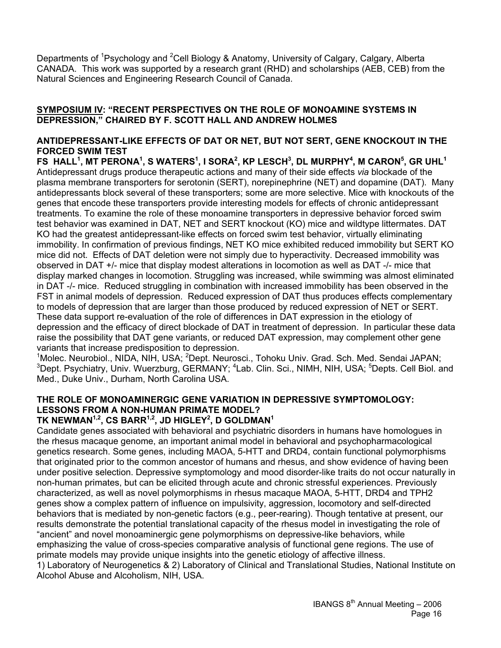Departments of <sup>1</sup>Psychology and <sup>2</sup>Cell Biology & Anatomy, University of Calgary, Calgary, Alberta CANADA. This work was supported by a research grant (RHD) and scholarships (AEB, CEB) from the Natural Sciences and Engineering Research Council of Canada.

#### **SYMPOSIUM IV: "RECENT PERSPECTIVES ON THE ROLE OF MONOAMINE SYSTEMS IN DEPRESSION," CHAIRED BY F. SCOTT HALL AND ANDREW HOLMES**

#### **ANTIDEPRESSANT-LIKE EFFECTS OF DAT OR NET, BUT NOT SERT, GENE KNOCKOUT IN THE FORCED SWIM TEST**

**FS HALL1 , MT PERONA1 , S WATERS<sup>1</sup> , I SORA2 , KP LESCH3 , DL MURPHY<sup>4</sup> , M CARON<sup>5</sup> , GR UHL<sup>1</sup>** Antidepressant drugs produce therapeutic actions and many of their side effects *via* blockade of the plasma membrane transporters for serotonin (SERT), norepinephrine (NET) and dopamine (DAT). Many antidepressants block several of these transporters; some are more selective. Mice with knockouts of the genes that encode these transporters provide interesting models for effects of chronic antidepressant treatments. To examine the role of these monoamine transporters in depressive behavior forced swim test behavior was examined in DAT, NET and SERT knockout (KO) mice and wildtype littermates. DAT KO had the greatest antidepressant-like effects on forced swim test behavior, virtually eliminating immobility. In confirmation of previous findings, NET KO mice exhibited reduced immobility but SERT KO mice did not. Effects of DAT deletion were not simply due to hyperactivity. Decreased immobility was observed in DAT +/- mice that display modest alterations in locomotion as well as DAT -/- mice that display marked changes in locomotion. Struggling was increased, while swimming was almost eliminated in DAT -/- mice. Reduced struggling in combination with increased immobility has been observed in the FST in animal models of depression. Reduced expression of DAT thus produces effects complementary to models of depression that are larger than those produced by reduced expression of NET or SERT. These data support re-evaluation of the role of differences in DAT expression in the etiology of depression and the efficacy of direct blockade of DAT in treatment of depression. In particular these data raise the possibility that DAT gene variants, or reduced DAT expression, may complement other gene variants that increase predisposition to depression.

<sup>1</sup>Molec. Neurobiol., NIDA, NIH, USA; <sup>2</sup>Dept. Neurosci., Tohoku Univ. Grad. Sch. Med. Sendai JAPAN; <sup>3</sup>Dept. Psychiatry, Univ. Wuerzburg, GERMANY; <sup>4</sup>Lab. Clin. Sci., NIMH, NIH, USA; <sup>5</sup>Depts. Cell Biol. and Med., Duke Univ., Durham, North Carolina USA.

### **THE ROLE OF MONOAMINERGIC GENE VARIATION IN DEPRESSIVE SYMPTOMOLOGY: LESSONS FROM A NON-HUMAN PRIMATE MODEL?**

### **TK NEWMAN1,2, CS BARR1,2, JD HIGLEY2 , D GOLDMAN1**

Candidate genes associated with behavioral and psychiatric disorders in humans have homologues in the rhesus macaque genome, an important animal model in behavioral and psychopharmacological genetics research. Some genes, including MAOA, 5-HTT and DRD4, contain functional polymorphisms that originated prior to the common ancestor of humans and rhesus, and show evidence of having been under positive selection. Depressive symptomology and mood disorder-like traits do not occur naturally in non-human primates, but can be elicited through acute and chronic stressful experiences. Previously characterized, as well as novel polymorphisms in rhesus macaque MAOA, 5-HTT, DRD4 and TPH2 genes show a complex pattern of influence on impulsivity, aggression, locomotory and self-directed behaviors that is mediated by non-genetic factors (e.g., peer-rearing). Though tentative at present, our results demonstrate the potential translational capacity of the rhesus model in investigating the role of "ancient" and novel monoaminergic gene polymorphisms on depressive-like behaviors, while emphasizing the value of cross-species comparative analysis of functional gene regions. The use of primate models may provide unique insights into the genetic etiology of affective illness.

1) Laboratory of Neurogenetics & 2) Laboratory of Clinical and Translational Studies, National Institute on Alcohol Abuse and Alcoholism, NIH, USA.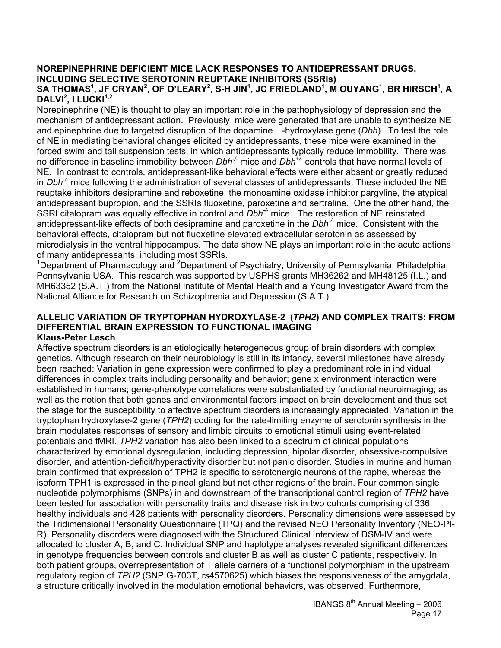#### **NOREPINEPHRINE DEFICIENT MICE LACK RESPONSES TO ANTIDEPRESSANT DRUGS, INCLUDING SELECTIVE SEROTONIN REUPTAKE INHIBITORS (SSRIs)**   $\mathsf{SA}$  THOMAS $^1$ , JF CRYAN $^2$ , OF O'LEARY $^2$ , S-H JIN $^1$ , JC FRIEDLAND $^1$ , M OUYANG $^1$ , BR HIRSCH $^1$ , A **DALVI<sup>2</sup>, I LUCKI**<sup>1,2</sup>

Norepinephrine (NE) is thought to play an important role in the pathophysiology of depression and the mechanism of antidepressant action. Previously, mice were generated that are unable to synthesize NE and epinephrine due to targeted disruption of the dopamine -hydroxylase gene (*Dbh*). To test the role of NE in mediating behavioral changes elicited by antidepressants, these mice were examined in the forced swim and tail suspension tests, in which antidepressants typically reduce immobility. There was no difference in baseline immobility between *Dbh-/-* mice and *Dbh+/-* controls that have normal levels of NE. In contrast to controls, antidepressant-like behavioral effects were either absent or greatly reduced in *Dbh-/-* mice following the administration of several classes of antidepressants. These included the NE reuptake inhibitors desipramine and reboxetine, the monoamine oxidase inhibitor pargyline, the atypical antidepressant bupropion, and the SSRIs fluoxetine, paroxetine and sertraline. One the other hand, the SSRI citalopram was equally effective in control and *Dbh<sup>-/-</sup>* mice. The restoration of NE reinstated antidepressant-like effects of both desipramine and paroxetine in the *Dbh-/-* mice. Consistent with the behavioral effects, citalopram but not fluoxetine elevated extracellular serotonin as assessed by microdialysis in the ventral hippocampus. The data show NE plays an important role in the acute actions of many antidepressants, including most SSRIs.

<sup>1</sup>Department of Pharmacology and <sup>2</sup>Department of Psychiatry, University of Pennsylvania, Philadelphia, Pennsylvania USA. This research was supported by USPHS grants MH36262 and MH48125 (I.L.) and MH63352 (S.A.T.) from the National Institute of Mental Health and a Young Investigator Award from the National Alliance for Research on Schizophrenia and Depression (S.A.T.).

#### **ALLELIC VARIATION OF TRYPTOPHAN HYDROXYLASE-2 (***TPH2***) AND COMPLEX TRAITS: FROM DIFFERENTIAL BRAIN EXPRESSION TO FUNCTIONAL IMAGING Klaus-Peter Lesch**

Affective spectrum disorders is an etiologically heterogeneous group of brain disorders with complex genetics. Although research on their neurobiology is still in its infancy, several milestones have already been reached: Variation in gene expression were confirmed to play a predominant role in individual differences in complex traits including personality and behavior; gene x environment interaction were established in humans; gene-phenotype correlations were substantiated by functional neuroimaging; as well as the notion that both genes and environmental factors impact on brain development and thus set the stage for the susceptibility to affective spectrum disorders is increasingly appreciated. Variation in the tryptophan hydroxylase-2 gene (*TPH2*) coding for the rate-limiting enzyme of serotonin synthesis in the brain modulates responses of sensory and limbic circuits to emotional stimuli using event-related potentials and fMRI. *TPH2* variation has also been linked to a spectrum of clinical populations characterized by emotional dysregulation, including depression, bipolar disorder, obsessive-compulsive disorder, and attention-deficit/hyperactivity disorder but not panic disorder. Studies in murine and human brain confirmed that expression of TPH2 is specific to serotonergic neurons of the raphe, whereas the isoform TPH1 is expressed in the pineal gland but not other regions of the brain. Four common single nucleotide polymorphisms (SNPs) in and downstream of the transcriptional control region of *TPH2* have been tested for association with personality traits and disease risk in two cohorts comprising of 336 healthy individuals and 428 patients with personality disorders. Personality dimensions were assessed by the Tridimensional Personality Questionnaire (TPQ) and the revised NEO Personality Inventory (NEO-PI-R). Personality disorders were diagnosed with the Structured Clinical Interview of DSM-IV and were allocated to cluster A, B, and C. Individual SNP and haplotype analyses revealed significant differences in genotype frequencies between controls and cluster B as well as cluster C patients, respectively. In both patient groups, overrepresentation of T allele carriers of a functional polymorphism in the upstream regulatory region of *TPH2* (SNP G-703T, rs4570625) which biases the responsiveness of the amygdala, a structure critically involved in the modulation emotional behaviors, was observed. Furthermore,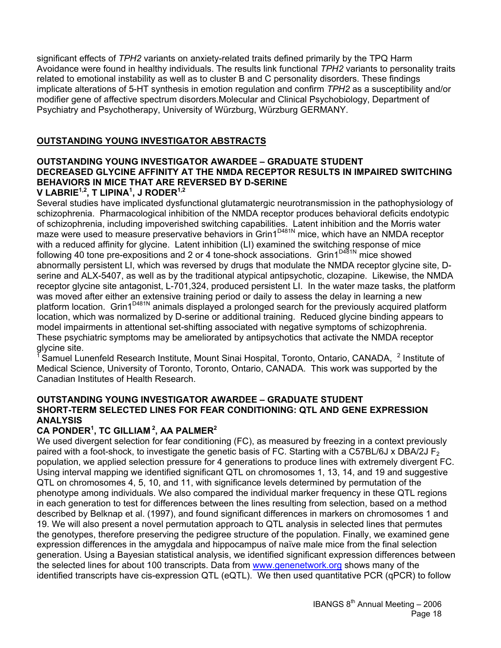significant effects of *TPH2* variants on anxiety-related traits defined primarily by the TPQ Harm Avoidance were found in healthy individuals. The results link functional *TPH2* variants to personality traits related to emotional instability as well as to cluster B and C personality disorders. These findings implicate alterations of 5-HT synthesis in emotion regulation and confirm *TPH2* as a susceptibility and/or modifier gene of affective spectrum disorders.Molecular and Clinical Psychobiology, Department of Psychiatry and Psychotherapy, University of Würzburg, Würzburg GERMANY.

### **OUTSTANDING YOUNG INVESTIGATOR ABSTRACTS**

#### **OUTSTANDING YOUNG INVESTIGATOR AWARDEE – GRADUATE STUDENT DECREASED GLYCINE AFFINITY AT THE NMDA RECEPTOR RESULTS IN IMPAIRED SWITCHING BEHAVIORS IN MICE THAT ARE REVERSED BY D-SERINE V LABRIE1,2, T LIPINA1 , J RODER1,2**

Several studies have implicated dysfunctional glutamatergic neurotransmission in the pathophysiology of schizophrenia. Pharmacological inhibition of the NMDA receptor produces behavioral deficits endotypic of schizophrenia, including impoverished switching capabilities. Latent inhibition and the Morris water maze were used to measure preservative behaviors in Grin1<sup>D481N</sup> mice, which have an NMDA receptor with a reduced affinity for glycine. Latent inhibition (LI) examined the switching response of mice following 40 tone pre-expositions and 2 or 4 tone-shock associations. Grin1<sup>D481N</sup> mice showed abnormally persistent LI, which was reversed by drugs that modulate the NMDA receptor glycine site, Dserine and ALX-5407, as well as by the traditional atypical antipsychotic, clozapine. Likewise, the NMDA receptor glycine site antagonist, L-701,324, produced persistent LI. In the water maze tasks, the platform was moved after either an extensive training period or daily to assess the delay in learning a new platform location. Grin1<sup>D481N</sup> animals displayed a prolonged search for the previously acquired platform location, which was normalized by D-serine or additional training. Reduced glycine binding appears to model impairments in attentional set-shifting associated with negative symptoms of schizophrenia. These psychiatric symptoms may be ameliorated by antipsychotics that activate the NMDA receptor glycine site.

<sup>1</sup> Samuel Lunenfeld Research Institute, Mount Sinai Hospital, Toronto, Ontario, CANADA, <sup>2</sup> Institute of Medical Science, University of Toronto, Toronto, Ontario, CANADA. This work was supported by the Canadian Institutes of Health Research.

#### **OUTSTANDING YOUNG INVESTIGATOR AWARDEE – GRADUATE STUDENT SHORT-TERM SELECTED LINES FOR FEAR CONDITIONING: QTL AND GENE EXPRESSION ANALYSIS**

### **CA PONDER1 , TC GILLIAM 2, AA PALMER2**

We used divergent selection for fear conditioning (FC), as measured by freezing in a context previously paired with a foot-shock, to investigate the genetic basis of FC. Starting with a C57BL/6J x DBA/2J F<sub>2</sub> population, we applied selection pressure for 4 generations to produce lines with extremely divergent FC. Using interval mapping we identified significant QTL on chromosomes 1, 13, 14, and 19 and suggestive QTL on chromosomes 4, 5, 10, and 11, with significance levels determined by permutation of the phenotype among individuals. We also compared the individual marker frequency in these QTL regions in each generation to test for differences between the lines resulting from selection, based on a method described by Belknap et al. (1997), and found significant differences in markers on chromosomes 1 and 19. We will also present a novel permutation approach to QTL analysis in selected lines that permutes the genotypes, therefore preserving the pedigree structure of the population. Finally, we examined gene expression differences in the amygdala and hippocampus of naïve male mice from the final selection generation. Using a Bayesian statistical analysis, we identified significant expression differences between the selected lines for about 100 transcripts. Data from www.genenetwork.org shows many of the identified transcripts have cis-expression QTL (eQTL). We then used quantitative PCR (qPCR) to follow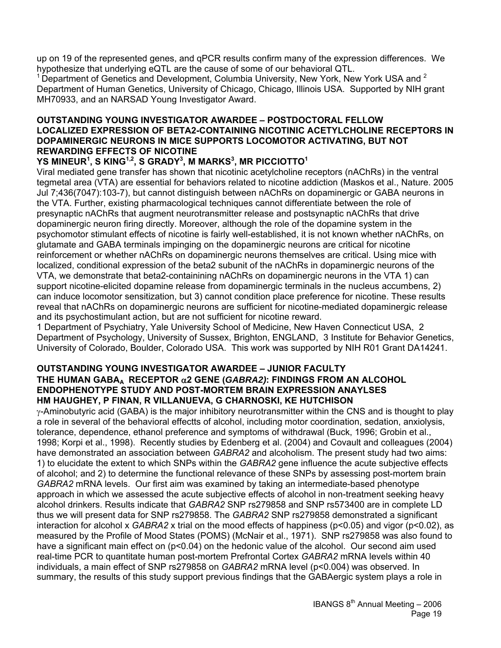up on 19 of the represented genes, and qPCR results confirm many of the expression differences. We hypothesize that underlying eQTL are the cause of some of our behavioral QTL.

<sup>1</sup> Department of Genetics and Development, Columbia University, New York, New York USA and  $2$ Department of Human Genetics, University of Chicago, Chicago, Illinois USA. Supported by NIH grant MH70933, and an NARSAD Young Investigator Award.

#### **OUTSTANDING YOUNG INVESTIGATOR AWARDEE – POSTDOCTORAL FELLOW LOCALIZED EXPRESSION OF BETA2-CONTAINING NICOTINIC ACETYLCHOLINE RECEPTORS IN DOPAMINERGIC NEURONS IN MICE SUPPORTS LOCOMOTOR ACTIVATING, BUT NOT REWARDING EFFECTS OF NICOTINE**

### **YS MINEUR<sup>1</sup> , S KING1,2, S GRADY3 , M MARKS<sup>3</sup> , MR PICCIOTTO1**

Viral mediated gene transfer has shown that nicotinic acetylcholine receptors (nAChRs) in the ventral tegmetal area (VTA) are essential for behaviors related to nicotine addiction (Maskos et al., Nature. 2005 Jul 7;436(7047):103-7), but cannot distinguish between nAChRs on dopaminergic or GABA neurons in the VTA. Further, existing pharmacological techniques cannot differentiate between the role of presynaptic nAChRs that augment neurotransmitter release and postsynaptic nAChRs that drive dopaminergic neuron firing directly. Moreover, although the role of the dopamine system in the psychomotor stimulant effects of nicotine is fairly well-established, it is not known whether nAChRs, on glutamate and GABA terminals impinging on the dopaminergic neurons are critical for nicotine reinforcement or whether nAChRs on dopaminergic neurons themselves are critical. Using mice with localized, conditional expression of the beta2 subunit of the nAChRs in dopaminergic neurons of the VTA, we demonstrate that beta2-containining nAChRs on dopaminergic neurons in the VTA 1) can support nicotine-elicited dopamine release from dopaminergic terminals in the nucleus accumbens, 2) can induce locomotor sensitization, but 3) cannot condition place preference for nicotine. These results reveal that nAChRs on dopaminergic neurons are sufficient for nicotine-mediated dopaminergic release and its psychostimulant action, but are not sufficient for nicotine reward.

1 Department of Psychiatry, Yale University School of Medicine, New Haven Connecticut USA, 2 Department of Psychology, University of Sussex, Brighton, ENGLAND, 3 Institute for Behavior Genetics, University of Colorado, Boulder, Colorado USA. This work was supported by NIH R01 Grant DA14241.

#### **OUTSTANDING YOUNG INVESTIGATOR AWARDEE – JUNIOR FACULTY THE HUMAN GABAA RECEPTOR** α**2 GENE (***GABRA2)***: FINDINGS FROM AN ALCOHOL ENDOPHENOTYPE STUDY AND POST-MORTEM BRAIN EXPRESSION ANAYLSES HM HAUGHEY, P FINAN, R VILLANUEVA, G CHARNOSKI, KE HUTCHISON**

 $\gamma$ -Aminobutyric acid (GABA) is the major inhibitory neurotransmitter within the CNS and is thought to play a role in several of the behavioral effectts of alcohol, including motor coordination, sedation, anxiolysis, tolerance, dependence, ethanol preference and symptoms of withdrawal (Buck, 1996; Grobin et al., 1998; Korpi et al., 1998). Recently studies by Edenberg et al. (2004) and Covault and colleagues (2004) have demonstrated an association between *GABRA2* and alcoholism. The present study had two aims: 1) to elucidate the extent to which SNPs within the *GABRA2* gene influence the acute subjective effects of alcohol; and 2) to determine the functional relevance of these SNPs by assessing post-mortem brain *GABRA2* mRNA levels. Our first aim was examined by taking an intermediate-based phenotype approach in which we assessed the acute subjective effects of alcohol in non-treatment seeking heavy alcohol drinkers. Results indicate that *GABRA2* SNP rs279858 and SNP rs573400 are in complete LD thus we will present data for SNP rs279858. The *GABRA2* SNP rs279858 demonstrated a significant interaction for alcohol x *GABRA2* x trial on the mood effects of happiness (p<0.05) and vigor (p<0.02), as measured by the Profile of Mood States (POMS) (McNair et al., 1971). SNP rs279858 was also found to have a significant main effect on (p<0.04) on the hedonic value of the alcohol. Our second aim used real-time PCR to quantitate human post-mortem Prefrontal Cortex *GABRA2* mRNA levels within 40 individuals, a main effect of SNP rs279858 on *GABRA2* mRNA level (p<0.004) was observed. In summary, the results of this study support previous findings that the GABAergic system plays a role in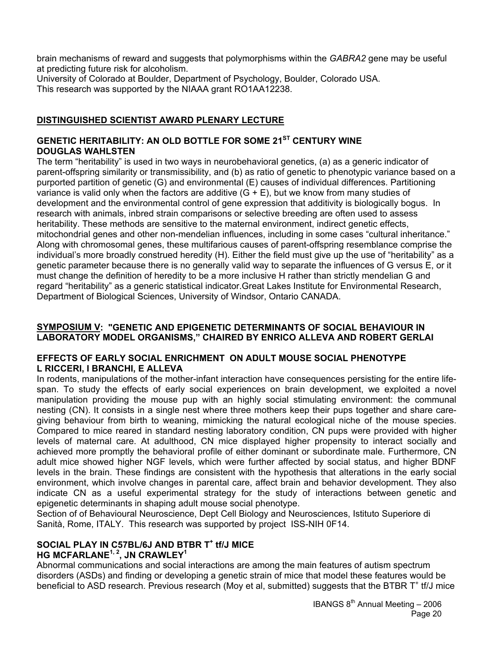brain mechanisms of reward and suggests that polymorphisms within the *GABRA2* gene may be useful at predicting future risk for alcoholism.

University of Colorado at Boulder, Department of Psychology, Boulder, Colorado USA. This research was supported by the NIAAA grant RO1AA12238.

### **DISTINGUISHED SCIENTIST AWARD PLENARY LECTURE**

### **GENETIC HERITABILITY: AN OLD BOTTLE FOR SOME 21ST CENTURY WINE DOUGLAS WAHLSTEN**

The term "heritability" is used in two ways in neurobehavioral genetics, (a) as a generic indicator of parent-offspring similarity or transmissibility, and (b) as ratio of genetic to phenotypic variance based on a purported partition of genetic (G) and environmental (E) causes of individual differences. Partitioning variance is valid only when the factors are additive  $(G + E)$ , but we know from many studies of development and the environmental control of gene expression that additivity is biologically bogus. In research with animals, inbred strain comparisons or selective breeding are often used to assess heritability. These methods are sensitive to the maternal environment, indirect genetic effects, mitochondrial genes and other non-mendelian influences, including in some cases "cultural inheritance." Along with chromosomal genes, these multifarious causes of parent-offspring resemblance comprise the individual's more broadly construed heredity (H). Either the field must give up the use of "heritability" as a genetic parameter because there is no generally valid way to separate the influences of G versus E, or it must change the definition of heredity to be a more inclusive H rather than strictly mendelian G and regard "heritability" as a generic statistical indicator.Great Lakes Institute for Environmental Research, Department of Biological Sciences, University of Windsor, Ontario CANADA.

#### **SYMPOSIUM V: "GENETIC AND EPIGENETIC DETERMINANTS OF SOCIAL BEHAVIOUR IN LABORATORY MODEL ORGANISMS," CHAIRED BY ENRICO ALLEVA AND ROBERT GERLAI**

### **EFFECTS OF EARLY SOCIAL ENRICHMENT ON ADULT MOUSE SOCIAL PHENOTYPE L RICCERI, I BRANCHI, E ALLEVA**

In rodents, manipulations of the mother-infant interaction have consequences persisting for the entire lifespan. To study the effects of early social experiences on brain development, we exploited a novel manipulation providing the mouse pup with an highly social stimulating environment: the communal nesting (CN). It consists in a single nest where three mothers keep their pups together and share caregiving behaviour from birth to weaning, mimicking the natural ecological niche of the mouse species. Compared to mice reared in standard nesting laboratory condition, CN pups were provided with higher levels of maternal care. At adulthood, CN mice displayed higher propensity to interact socially and achieved more promptly the behavioral profile of either dominant or subordinate male. Furthermore, CN adult mice showed higher NGF levels, which were further affected by social status, and higher BDNF levels in the brain. These findings are consistent with the hypothesis that alterations in the early social environment, which involve changes in parental care, affect brain and behavior development. They also indicate CN as a useful experimental strategy for the study of interactions between genetic and epigenetic determinants in shaping adult mouse social phenotype.

Section of of Behavioural Neuroscience, Dept Cell Biology and Neurosciences, Istituto Superiore di Sanità, Rome, ITALY. This research was supported by project ISS-NIH 0F14.

### SOCIAL PLAY IN C57BL/6J AND BTBR T<sup>+</sup> tf/J MICE **HG MCFARLANE1, 2, JN CRAWLEY1**

Abnormal communications and social interactions are among the main features of autism spectrum disorders (ASDs) and finding or developing a genetic strain of mice that model these features would be beneficial to ASD research. Previous research (Moy et al, submitted) suggests that the BTBR T<sup>+</sup> tf/J mice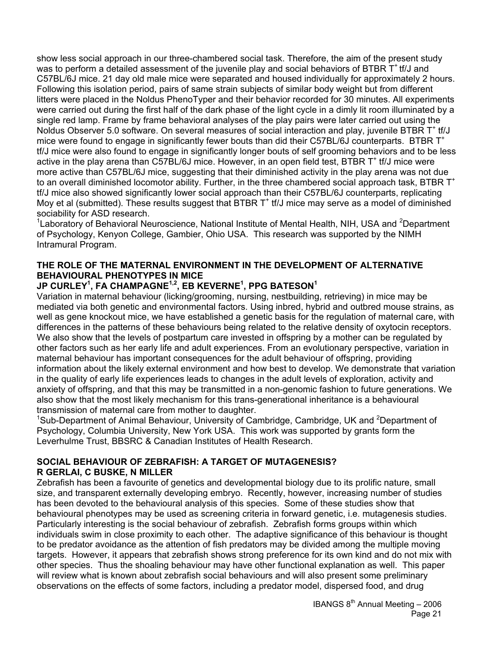show less social approach in our three-chambered social task. Therefore, the aim of the present study was to perform a detailed assessment of the juvenile play and social behaviors of BTBR T<sup>+</sup> tf/J and C57BL/6J mice. 21 day old male mice were separated and housed individually for approximately 2 hours. Following this isolation period, pairs of same strain subjects of similar body weight but from different litters were placed in the Noldus PhenoTyper and their behavior recorded for 30 minutes. All experiments were carried out during the first half of the dark phase of the light cycle in a dimly lit room illuminated by a single red lamp. Frame by frame behavioral analyses of the play pairs were later carried out using the Noldus Observer 5.0 software. On several measures of social interaction and play, juvenile BTBR  $T^*$  tf/J mice were found to engage in significantly fewer bouts than did their C57BL/6J counterparts. BTBR T<sup>+</sup> tf/J mice were also found to engage in significantly longer bouts of self grooming behaviors and to be less active in the play arena than C57BL/6J mice. However, in an open field test, BTBR T<sup>+</sup> tf/J mice were more active than C57BL/6J mice, suggesting that their diminished activity in the play arena was not due to an overall diminished locomotor ability. Further, in the three chambered social approach task, BTBR  $T^+$ tf/J mice also showed significantly lower social approach than their C57BL/6J counterparts, replicating Moy et al (submitted). These results suggest that BTBR  $T^+$  tf/J mice may serve as a model of diminished sociability for ASD research.

<sup>1</sup> Laboratory of Behavioral Neuroscience, National Institute of Mental Health, NIH, USA and <sup>2</sup>Department of Psychology, Kenyon College, Gambier, Ohio USA. This research was supported by the NIMH Intramural Program.

### **THE ROLE OF THE MATERNAL ENVIRONMENT IN THE DEVELOPMENT OF ALTERNATIVE BEHAVIOURAL PHENOTYPES IN MICE**

### **JP CURLEY1 , FA CHAMPAGNE1,2, EB KEVERNE1 , PPG BATESON<sup>1</sup>**

Variation in maternal behaviour (licking/grooming, nursing, nestbuilding, retrieving) in mice may be mediated via both genetic and environmental factors. Using inbred, hybrid and outbred mouse strains, as well as gene knockout mice, we have established a genetic basis for the regulation of maternal care, with differences in the patterns of these behaviours being related to the relative density of oxytocin receptors. We also show that the levels of postpartum care invested in offspring by a mother can be regulated by other factors such as her early life and adult experiences. From an evolutionary perspective, variation in maternal behaviour has important consequences for the adult behaviour of offspring, providing information about the likely external environment and how best to develop. We demonstrate that variation in the quality of early life experiences leads to changes in the adult levels of exploration, activity and anxiety of offspring, and that this may be transmitted in a non-genomic fashion to future generations. We also show that the most likely mechanism for this trans-generational inheritance is a behavioural transmission of maternal care from mother to daughter.

<sup>1</sup>Sub-Department of Animal Behaviour, University of Cambridge, Cambridge, UK and <sup>2</sup>Department of Psychology, Columbia University, New York USA. This work was supported by grants form the Leverhulme Trust, BBSRC & Canadian Institutes of Health Research.

### **SOCIAL BEHAVIOUR OF ZEBRAFISH: A TARGET OF MUTAGENESIS? R GERLAI, C BUSKE, N MILLER**

Zebrafish has been a favourite of genetics and developmental biology due to its prolific nature, small size, and transparent externally developing embryo. Recently, however, increasing number of studies has been devoted to the behavioural analysis of this species. Some of these studies show that behavioural phenotypes may be used as screening criteria in forward genetic, i.e. mutagenesis studies. Particularly interesting is the social behaviour of zebrafish. Zebrafish forms groups within which individuals swim in close proximity to each other. The adaptive significance of this behaviour is thought to be predator avoidance as the attention of fish predators may be divided among the multiple moving targets. However, it appears that zebrafish shows strong preference for its own kind and do not mix with other species. Thus the shoaling behaviour may have other functional explanation as well. This paper will review what is known about zebrafish social behaviours and will also present some preliminary observations on the effects of some factors, including a predator model, dispersed food, and drug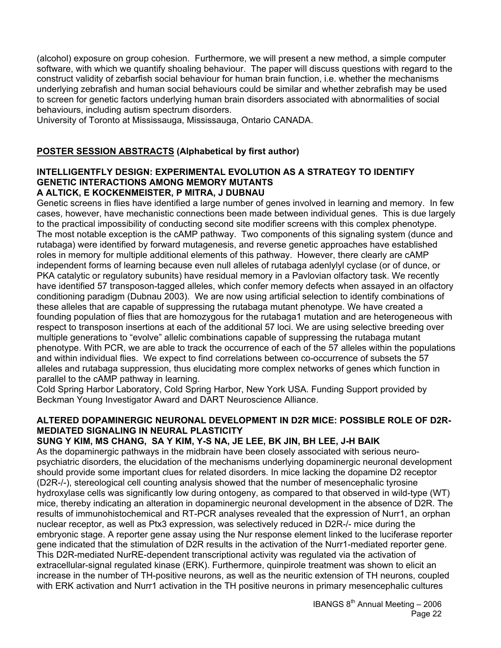(alcohol) exposure on group cohesion. Furthermore, we will present a new method, a simple computer software, with which we quantify shoaling behaviour. The paper will discuss questions with regard to the construct validity of zebarfish social behaviour for human brain function, i.e. whether the mechanisms underlying zebrafish and human social behaviours could be similar and whether zebrafish may be used to screen for genetic factors underlying human brain disorders associated with abnormalities of social behaviours, including autism spectrum disorders.

University of Toronto at Mississauga, Mississauga, Ontario CANADA.

### **POSTER SESSION ABSTRACTS (Alphabetical by first author)**

#### **INTELLIGENTFLY DESIGN: EXPERIMENTAL EVOLUTION AS A STRATEGY TO IDENTIFY GENETIC INTERACTIONS AMONG MEMORY MUTANTS A ALTICK, E KOCKENMEISTER, P MITRA, J DUBNAU**

Genetic screens in flies have identified a large number of genes involved in learning and memory. In few cases, however, have mechanistic connections been made between individual genes. This is due largely to the practical impossibility of conducting second site modifier screens with this complex phenotype. The most notable exception is the cAMP pathway. Two components of this signaling system (dunce and rutabaga) were identified by forward mutagenesis, and reverse genetic approaches have established roles in memory for multiple additional elements of this pathway. However, there clearly are cAMP independent forms of learning because even null alleles of rutabaga adenlylyl cyclase (or of dunce, or PKA catalytic or regulatory subunits) have residual memory in a Pavlovian olfactory task. We recently have identified 57 transposon-tagged alleles, which confer memory defects when assayed in an olfactory conditioning paradigm (Dubnau 2003). We are now using artificial selection to identify combinations of these alleles that are capable of suppressing the rutabaga mutant phenotype. We have created a founding population of flies that are homozygous for the rutabaga1 mutation and are heterogeneous with respect to transposon insertions at each of the additional 57 loci. We are using selective breeding over multiple generations to "evolve" allelic combinations capable of suppressing the rutabaga mutant phenotype. With PCR, we are able to track the occurrence of each of the 57 alleles within the populations and within individual flies. We expect to find correlations between co-occurrence of subsets the 57 alleles and rutabaga suppression, thus elucidating more complex networks of genes which function in parallel to the cAMP pathway in learning.

Cold Spring Harbor Laboratory, Cold Spring Harbor, New York USA. Funding Support provided by Beckman Young Investigator Award and DART Neuroscience Alliance.

### **ALTERED DOPAMINERGIC NEURONAL DEVELOPMENT IN D2R MICE: POSSIBLE ROLE OF D2R-MEDIATED SIGNALING IN NEURAL PLASTICITY**

### **SUNG Y KIM, MS CHANG, SA Y KIM, Y-S NA, JE LEE, BK JIN, BH LEE, J-H BAIK**

As the dopaminergic pathways in the midbrain have been closely associated with serious neuropsychiatric disorders, the elucidation of the mechanisms underlying dopaminergic neuronal development should provide some important clues for related disorders. In mice lacking the dopamine D2 receptor (D2R-/-), stereological cell counting analysis showed that the number of mesencephalic tyrosine hydroxylase cells was significantly low during ontogeny, as compared to that observed in wild-type (WT) mice, thereby indicating an alteration in dopaminergic neuronal development in the absence of D2R. The results of immunohistochemical and RT-PCR analyses revealed that the expression of Nurr1, an orphan nuclear receptor, as well as Ptx3 expression, was selectively reduced in D2R-/- mice during the embryonic stage. A reporter gene assay using the Nur response element linked to the luciferase reporter gene indicated that the stimulation of D2R results in the activation of the Nurr1-mediated reporter gene. This D2R-mediated NurRE-dependent transcriptional activity was regulated via the activation of extracellular-signal regulated kinase (ERK). Furthermore, quinpirole treatment was shown to elicit an increase in the number of TH-positive neurons, as well as the neuritic extension of TH neurons, coupled with ERK activation and Nurr1 activation in the TH positive neurons in primary mesencephalic cultures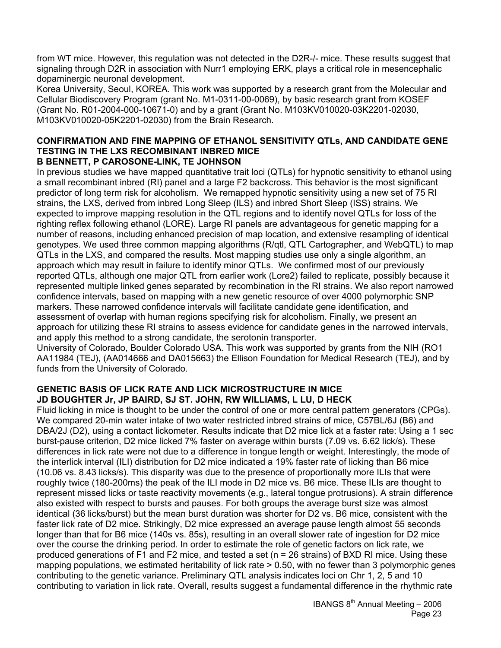from WT mice. However, this regulation was not detected in the D2R-/- mice. These results suggest that signaling through D2R in association with Nurr1 employing ERK, plays a critical role in mesencephalic dopaminergic neuronal development.

Korea University, Seoul, KOREA. This work was supported by a research grant from the Molecular and Cellular Biodiscovery Program (grant No. M1-0311-00-0069), by basic research grant from KOSEF (Grant No. R01-2004-000-10671-0) and by a grant (Grant No. M103KV010020-03K2201-02030, M103KV010020-05K2201-02030) from the Brain Research.

#### **CONFIRMATION AND FINE MAPPING OF ETHANOL SENSITIVITY QTLs, AND CANDIDATE GENE TESTING IN THE LXS RECOMBINANT INBRED MICE B BENNETT, P CAROSONE-LINK, TE JOHNSON**

In previous studies we have mapped quantitative trait loci (QTLs) for hypnotic sensitivity to ethanol using a small recombinant inbred (RI) panel and a large F2 backcross. This behavior is the most significant predictor of long term risk for alcoholism. We remapped hypnotic sensitivity using a new set of 75 RI strains, the LXS, derived from inbred Long Sleep (ILS) and inbred Short Sleep (ISS) strains. We expected to improve mapping resolution in the QTL regions and to identify novel QTLs for loss of the righting reflex following ethanol (LORE). Large RI panels are advantageous for genetic mapping for a number of reasons, including enhanced precision of map location, and extensive resampling of identical genotypes. We used three common mapping algorithms (R/qtl, QTL Cartographer, and WebQTL) to map QTLs in the LXS, and compared the results. Most mapping studies use only a single algorithm, an approach which may result in failure to identify minor QTLs. We confirmed most of our previously reported QTLs, although one major QTL from earlier work (Lore2) failed to replicate, possibly because it represented multiple linked genes separated by recombination in the RI strains. We also report narrowed confidence intervals, based on mapping with a new genetic resource of over 4000 polymorphic SNP markers. These narrowed confidence intervals will facilitate candidate gene identification, and assessment of overlap with human regions specifying risk for alcoholism. Finally, we present an approach for utilizing these RI strains to assess evidence for candidate genes in the narrowed intervals, and apply this method to a strong candidate, the serotonin transporter.

University of Colorado, Boulder Colorado USA. This work was supported by grants from the NIH (RO1 AA11984 (TEJ), (AA014666 and DA015663) the Ellison Foundation for Medical Research (TEJ), and by funds from the University of Colorado.

#### **GENETIC BASIS OF LICK RATE AND LICK MICROSTRUCTURE IN MICE JD BOUGHTER Jr, JP BAIRD, SJ ST. JOHN, RW WILLIAMS, L LU, D HECK**

Fluid licking in mice is thought to be under the control of one or more central pattern generators (CPGs). We compared 20-min water intake of two water restricted inbred strains of mice, C57BL/6J (B6) and DBA/2J (D2), using a contact lickometer. Results indicate that D2 mice lick at a faster rate: Using a 1 sec burst-pause criterion, D2 mice licked 7% faster on average within bursts (7.09 vs. 6.62 lick/s). These differences in lick rate were not due to a difference in tongue length or weight. Interestingly, the mode of the interlick interval (ILI) distribution for D2 mice indicated a 19% faster rate of licking than B6 mice (10.06 vs. 8.43 licks/s). This disparity was due to the presence of proportionally more ILIs that were roughly twice (180-200ms) the peak of the ILI mode in D2 mice vs. B6 mice. These ILIs are thought to represent missed licks or taste reactivity movements (e.g., lateral tongue protrusions). A strain difference also existed with respect to bursts and pauses. For both groups the average burst size was almost identical (36 licks/burst) but the mean burst duration was shorter for D2 vs. B6 mice, consistent with the faster lick rate of D2 mice. Strikingly, D2 mice expressed an average pause length almost 55 seconds longer than that for B6 mice (140s vs. 85s), resulting in an overall slower rate of ingestion for D2 mice over the course the drinking period. In order to estimate the role of genetic factors on lick rate, we produced generations of F1 and F2 mice, and tested a set (n = 26 strains) of BXD RI mice. Using these mapping populations, we estimated heritability of lick rate > 0.50, with no fewer than 3 polymorphic genes contributing to the genetic variance. Preliminary QTL analysis indicates loci on Chr 1, 2, 5 and 10 contributing to variation in lick rate. Overall, results suggest a fundamental difference in the rhythmic rate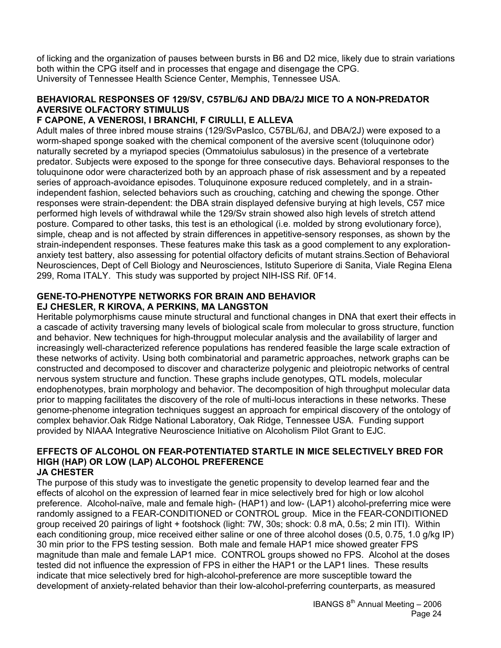of licking and the organization of pauses between bursts in B6 and D2 mice, likely due to strain variations both within the CPG itself and in processes that engage and disengage the CPG. University of Tennessee Health Science Center, Memphis, Tennessee USA.

#### **BEHAVIORAL RESPONSES OF 129/SV, C57BL/6J AND DBA/2J MICE TO A NON-PREDATOR AVERSIVE OLFACTORY STIMULUS**

### **F CAPONE, A VENEROSI, I BRANCHI, F CIRULLI, E ALLEVA**

Adult males of three inbred mouse strains (129/SvPasIco, C57BL/6J, and DBA/2J) were exposed to a worm-shaped sponge soaked with the chemical component of the aversive scent (toluquinone odor) naturally secreted by a myriapod species (Ommatoiulus sabulosus) in the presence of a vertebrate predator. Subjects were exposed to the sponge for three consecutive days. Behavioral responses to the toluquinone odor were characterized both by an approach phase of risk assessment and by a repeated series of approach-avoidance episodes. Toluquinone exposure reduced completely, and in a strainindependent fashion, selected behaviors such as crouching, catching and chewing the sponge. Other responses were strain-dependent: the DBA strain displayed defensive burying at high levels, C57 mice performed high levels of withdrawal while the 129/Sv strain showed also high levels of stretch attend posture. Compared to other tasks, this test is an ethological (i.e. molded by strong evolutionary force), simple, cheap and is not affected by strain differences in appetitive-sensory responses, as shown by the strain-independent responses. These features make this task as a good complement to any explorationanxiety test battery, also assessing for potential olfactory deficits of mutant strains.Section of Behavioral Neurosciences, Dept of Cell Biology and Neurosciences, Istituto Superiore di Sanita, Viale Regina Elena 299, Roma ITALY. This study was supported by project NIH-ISS Rif. 0F14.

#### **GENE-TO-PHENOTYPE NETWORKS FOR BRAIN AND BEHAVIOR EJ CHESLER, R KIROVA, A PERKINS, MA LANGSTON**

Heritable polymorphisms cause minute structural and functional changes in DNA that exert their effects in a cascade of activity traversing many levels of biological scale from molecular to gross structure, function and behavior. New techniques for high-througput molecular analysis and the availability of larger and increasingly well-characterized reference populations has rendered feasible the large scale extraction of these networks of activity. Using both combinatorial and parametric approaches, network graphs can be constructed and decomposed to discover and characterize polygenic and pleiotropic networks of central nervous system structure and function. These graphs include genotypes, QTL models, molecular endophenotypes, brain morphology and behavior. The decomposition of high throughput molecular data prior to mapping facilitates the discovery of the role of multi-locus interactions in these networks. These genome-phenome integration techniques suggest an approach for empirical discovery of the ontology of complex behavior.Oak Ridge National Laboratory, Oak Ridge, Tennessee USA. Funding support provided by NIAAA Integrative Neuroscience Initiative on Alcoholism Pilot Grant to EJC.

#### **EFFECTS OF ALCOHOL ON FEAR-POTENTIATED STARTLE IN MICE SELECTIVELY BRED FOR HIGH (HAP) OR LOW (LAP) ALCOHOL PREFERENCE JA CHESTER**

The purpose of this study was to investigate the genetic propensity to develop learned fear and the effects of alcohol on the expression of learned fear in mice selectively bred for high or low alcohol preference. Alcohol-naïve, male and female high- (HAP1) and low- (LAP1) alcohol-preferring mice were randomly assigned to a FEAR-CONDITIONED or CONTROL group. Mice in the FEAR-CONDITIONED group received 20 pairings of light + footshock (light: 7W, 30s; shock: 0.8 mA, 0.5s; 2 min ITI). Within each conditioning group, mice received either saline or one of three alcohol doses (0.5, 0.75, 1.0 g/kg IP) 30 min prior to the FPS testing session. Both male and female HAP1 mice showed greater FPS magnitude than male and female LAP1 mice. CONTROL groups showed no FPS. Alcohol at the doses tested did not influence the expression of FPS in either the HAP1 or the LAP1 lines. These results indicate that mice selectively bred for high-alcohol-preference are more susceptible toward the development of anxiety-related behavior than their low-alcohol-preferring counterparts, as measured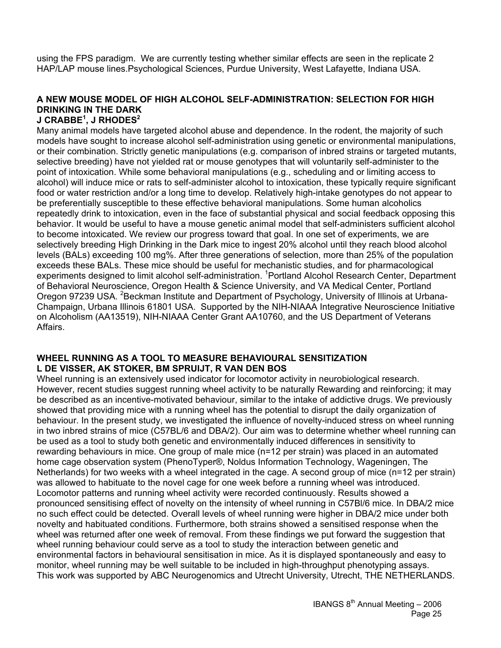using the FPS paradigm. We are currently testing whether similar effects are seen in the replicate 2 HAP/LAP mouse lines.Psychological Sciences, Purdue University, West Lafayette, Indiana USA.

### **A NEW MOUSE MODEL OF HIGH ALCOHOL SELF-ADMINISTRATION: SELECTION FOR HIGH DRINKING IN THE DARK**

### **J CRABBE<sup>1</sup> , J RHODES2**

Many animal models have targeted alcohol abuse and dependence. In the rodent, the majority of such models have sought to increase alcohol self-administration using genetic or environmental manipulations, or their combination. Strictly genetic manipulations (e.g. comparison of inbred strains or targeted mutants, selective breeding) have not yielded rat or mouse genotypes that will voluntarily self-administer to the point of intoxication. While some behavioral manipulations (e.g., scheduling and or limiting access to alcohol) will induce mice or rats to self-administer alcohol to intoxication, these typically require significant food or water restriction and/or a long time to develop. Relatively high-intake genotypes do not appear to be preferentially susceptible to these effective behavioral manipulations. Some human alcoholics repeatedly drink to intoxication, even in the face of substantial physical and social feedback opposing this behavior. It would be useful to have a mouse genetic animal model that self-administers sufficient alcohol to become intoxicated. We review our progress toward that goal. In one set of experiments, we are selectively breeding High Drinking in the Dark mice to ingest 20% alcohol until they reach blood alcohol levels (BALs) exceeding 100 mg%. After three generations of selection, more than 25% of the population exceeds these BALs. These mice should be useful for mechanistic studies, and for pharmacological experiments designed to limit alcohol self-administration. <sup>1</sup>Portland Alcohol Research Center, Department of Behavioral Neuroscience, Oregon Health & Science University, and VA Medical Center, Portland Oregon 97239 USA. <sup>2</sup> Beckman Institute and Department of Psychology, University of Illinois at Urbana-Champaign, Urbana Illinois 61801 USA. Supported by the NIH-NIAAA Integrative Neuroscience Initiative on Alcoholism (AA13519), NIH-NIAAA Center Grant AA10760, and the US Department of Veterans Affairs.

#### **WHEEL RUNNING AS A TOOL TO MEASURE BEHAVIOURAL SENSITIZATION L DE VISSER, AK STOKER, BM SPRUIJT, R VAN DEN BOS**

Wheel running is an extensively used indicator for locomotor activity in neurobiological research. However, recent studies suggest running wheel activity to be naturally Rewarding and reinforcing; it may be described as an incentive-motivated behaviour, similar to the intake of addictive drugs. We previously showed that providing mice with a running wheel has the potential to disrupt the daily organization of behaviour. In the present study, we investigated the influence of novelty-induced stress on wheel running in two inbred strains of mice (C57BL/6 and DBA/2). Our aim was to determine whether wheel running can be used as a tool to study both genetic and environmentally induced differences in sensitivity to rewarding behaviours in mice. One group of male mice (n=12 per strain) was placed in an automated home cage observation system (PhenoTyper®, Noldus Information Technology, Wageningen, The Netherlands) for two weeks with a wheel integrated in the cage. A second group of mice (n=12 per strain) was allowed to habituate to the novel cage for one week before a running wheel was introduced. Locomotor patterns and running wheel activity were recorded continuously. Results showed a pronounced sensitising effect of novelty on the intensity of wheel running in C57Bl/6 mice. In DBA/2 mice no such effect could be detected. Overall levels of wheel running were higher in DBA/2 mice under both novelty and habituated conditions. Furthermore, both strains showed a sensitised response when the wheel was returned after one week of removal. From these findings we put forward the suggestion that wheel running behaviour could serve as a tool to study the interaction between genetic and environmental factors in behavioural sensitisation in mice. As it is displayed spontaneously and easy to monitor, wheel running may be well suitable to be included in high-throughput phenotyping assays. This work was supported by ABC Neurogenomics and Utrecht University, Utrecht, THE NETHERLANDS.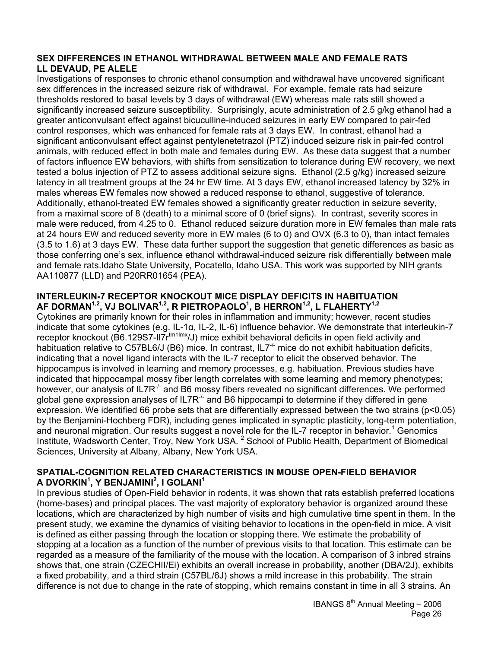#### **SEX DIFFERENCES IN ETHANOL WITHDRAWAL BETWEEN MALE AND FEMALE RATS LL DEVAUD, PE ALELE**

Investigations of responses to chronic ethanol consumption and withdrawal have uncovered significant sex differences in the increased seizure risk of withdrawal. For example, female rats had seizure thresholds restored to basal levels by 3 days of withdrawal (EW) whereas male rats still showed a significantly increased seizure susceptibility. Surprisingly, acute administration of 2.5 g/kg ethanol had a greater anticonvulsant effect against bicuculline-induced seizures in early EW compared to pair-fed control responses, which was enhanced for female rats at 3 days EW. In contrast, ethanol had a significant anticonvulsant effect against pentylenetetrazol (PTZ) induced seizure risk in pair-fed control animals, with reduced effect in both male and females during EW. As these data suggest that a number of factors influence EW behaviors, with shifts from sensitization to tolerance during EW recovery, we next tested a bolus injection of PTZ to assess additional seizure signs. Ethanol (2.5 g/kg) increased seizure latency in all treatment groups at the 24 hr EW time. At 3 days EW, ethanol increased latency by 32% in males whereas EW females now showed a reduced response to ethanol, suggestive of tolerance. Additionally, ethanol-treated EW females showed a significantly greater reduction in seizure severity, from a maximal score of 8 (death) to a minimal score of 0 (brief signs). In contrast, severity scores in male were reduced, from 4.25 to 0. Ethanol reduced seizure duration more in EW females than male rats at 24 hours EW and reduced severity more in EW males (6 to 0) and OVX (6.3 to 0), than intact females (3.5 to 1.6) at 3 days EW. These data further support the suggestion that genetic differences as basic as those conferring one's sex, influence ethanol withdrawal-induced seizure risk differentially between male and female rats.Idaho State University, Pocatello, Idaho USA. This work was supported by NIH grants AA110877 (LLD) and P20RR01654 (PEA).

#### **INTERLEUKIN-7 RECEPTOR KNOCKOUT MICE DISPLAY DEFICITS IN HABITUATION AF DORMAN1,2, VJ BOLIVAR1,2, R PIETROPAOLO1 , B HERRON1,2, L FLAHERTY1,2**

Cytokines are primarily known for their roles in inflammation and immunity; however, recent studies indicate that some cytokines (e.g. IL-1α, IL-2, IL-6) influence behavior. We demonstrate that interleukin-7 receptor knockout (B6.129S7-II7r<sup>tm1Imx</sup>/J) mice exhibit behavioral deficits in open field activity and habituation relative to C57BL6/J (B6) mice. In contrast, IL7<sup>-/-</sup> mice do not exhibit habituation deficits, indicating that a novel ligand interacts with the IL-7 receptor to elicit the observed behavior. The hippocampus is involved in learning and memory processes, e.g. habituation. Previous studies have indicated that hippocampal mossy fiber length correlates with some learning and memory phenotypes; however, our analysis of IL7R $<sup>7</sup>$  and B6 mossy fibers revealed no significant differences. We performed</sup> global gene expression analyses of IL7R<sup>-/-</sup> and B6 hippocampi to determine if they differed in gene expression. We identified 66 probe sets that are differentially expressed between the two strains (p<0.05) by the Benjamini-Hochberg FDR), including genes implicated in synaptic plasticity, long-term potentiation, and neuronal migration. Our results suggest a novel role for the IL-7 receptor in behavior.<sup>1</sup> Genomics Institute, Wadsworth Center, Troy, New York USA.<sup>2</sup> School of Public Health, Department of Biomedical Sciences, University at Albany, Albany, New York USA.

#### **SPATIAL-COGNITION RELATED CHARACTERISTICS IN MOUSE OPEN-FIELD BEHAVIOR A DVORKIN1 , Y BENJAMINI2 , I GOLANI1**

In previous studies of Open-Field behavior in rodents, it was shown that rats establish preferred locations (home-bases) and principal places. The vast majority of exploratory behavior is organized around these locations, which are characterized by high number of visits and high cumulative time spent in them. In the present study, we examine the dynamics of visiting behavior to locations in the open-field in mice. A visit is defined as either passing through the location or stopping there. We estimate the probability of stopping at a location as a function of the number of previous visits to that location. This estimate can be regarded as a measure of the familiarity of the mouse with the location. A comparison of 3 inbred strains shows that, one strain (CZECHII/Ei) exhibits an overall increase in probability, another (DBA/2J), exhibits a fixed probability, and a third strain (C57BL/6J) shows a mild increase in this probability. The strain difference is not due to change in the rate of stopping, which remains constant in time in all 3 strains. An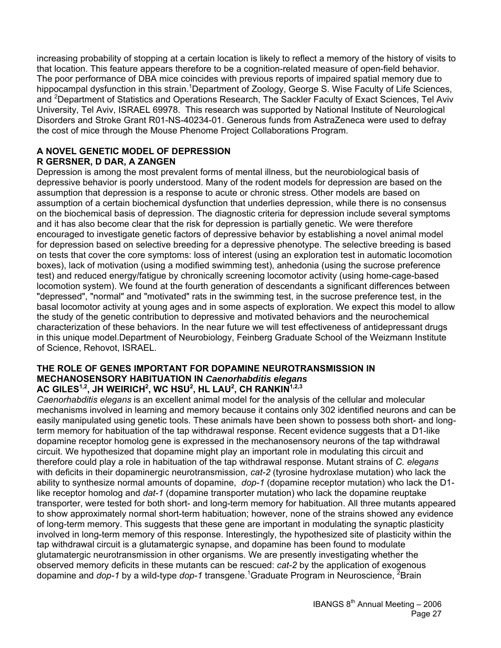increasing probability of stopping at a certain location is likely to reflect a memory of the history of visits to that location. This feature appears therefore to be a cognition-related measure of open-field behavior. The poor performance of DBA mice coincides with previous reports of impaired spatial memory due to hippocampal dysfunction in this strain. <sup>1</sup>Department of Zoology, George S. Wise Faculty of Life Sciences, and <sup>2</sup>Department of Statistics and Operations Research, The Sackler Faculty of Exact Sciences, Tel Aviv University, Tel Aviv, ISRAEL 69978. This research was supported by National Institute of Neurological Disorders and Stroke Grant R01-NS-40234-01. Generous funds from AstraZeneca were used to defray the cost of mice through the Mouse Phenome Project Collaborations Program.

## **A NOVEL GENETIC MODEL OF DEPRESSION**

### **R GERSNER, D DAR, A ZANGEN**

Depression is among the most prevalent forms of mental illness, but the neurobiological basis of depressive behavior is poorly understood. Many of the rodent models for depression are based on the assumption that depression is a response to acute or chronic stress*.* Other models are based on assumption of a certain biochemical dysfunction that underlies depression, while there is no consensus on the biochemical basis of depression. The diagnostic criteria for depression include several symptoms and it has also become clear that the risk for depression is partially genetic. We were therefore encouraged to investigate genetic factors of depressive behavior by establishing a novel animal model for depression based on selective breeding for a depressive phenotype. The selective breeding is based on tests that cover the core symptoms: loss of interest (using an exploration test in automatic locomotion boxes), lack of motivation (using a modified swimming test), anhedonia (using the sucrose preference test) and reduced energy/fatigue by chronically screening locomotor activity (using home-cage-based locomotion system). We found at the fourth generation of descendants a significant differences between "depressed", "normal" and "motivated" rats in the swimming test, in the sucrose preference test, in the basal locomotor activity at young ages and in some aspects of exploration. We expect this model to allow the study of the genetic contribution to depressive and motivated behaviors and the neurochemical characterization of these behaviors. In the near future we will test effectiveness of antidepressant drugs in this unique model.Department of Neurobiology, Feinberg Graduate School of the Weizmann Institute of Science, Rehovot, ISRAEL.

#### **THE ROLE OF GENES IMPORTANT FOR DOPAMINE NEUROTRANSMISSION IN MECHANOSENSORY HABITUATION IN** *Caenorhabditis elegans* AC GILES<sup>1,2</sup>, JH WEIRICH<sup>2</sup>, WC HSU<sup>2</sup>, HL LAU<sup>2</sup>, CH RANKIN<sup>1,2,3</sup>

*Caenorhabditis elegans* is an excellent animal model for the analysis of the cellular and molecular mechanisms involved in learning and memory because it contains only 302 identified neurons and can be easily manipulated using genetic tools. These animals have been shown to possess both short- and longterm memory for habituation of the tap withdrawal response. Recent evidence suggests that a D1-like dopamine receptor homolog gene is expressed in the mechanosensory neurons of the tap withdrawal circuit. We hypothesized that dopamine might play an important role in modulating this circuit and therefore could play a role in habituation of the tap withdrawal response. Mutant strains of *C. elegans*  with deficits in their dopaminergic neurotransmission, *cat-2* (tyrosine hydroxlase mutation) who lack the ability to synthesize normal amounts of dopamine, *dop-1* (dopamine receptor mutation) who lack the D1 like receptor homolog and *dat-1* (dopamine transporter mutation) who lack the dopamine reuptake transporter, were tested for both short- and long-term memory for habituation. All three mutants appeared to show approximately normal short-term habituation; however, none of the strains showed any evidence of long-term memory. This suggests that these gene are important in modulating the synaptic plasticity involved in long-term memory of this response. Interestingly, the hypothesized site of plasticity within the tap withdrawal circuit is a glutamatergic synapse, and dopamine has been found to modulate glutamatergic neurotransmission in other organisms. We are presently investigating whether the observed memory deficits in these mutants can be rescued: *cat-2* by the application of exogenous dopamine and *dop-1* by a wild-type *dop-1* transgene.<sup>1</sup>Graduate Program in Neuroscience, <sup>2</sup>Brain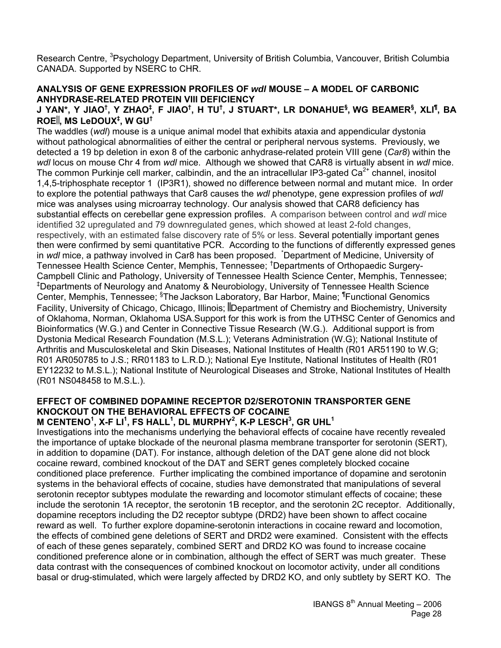Research Centre, <sup>3</sup>Psychology Department, University of British Columbia, Vancouver, British Columbia CANADA. Supported by NSERC to CHR.

#### **ANALYSIS OF GENE EXPRESSION PROFILES OF** *wdl* **MOUSE – A MODEL OF CARBONIC ANHYDRASE-RELATED PROTEIN VIII DEFICIENCY**

#### <code>J YAN\*, Y JIAO<sup>†</sup>, Y ZHAO<sup>‡</sup>, F JIAO<sup>†</sup>, H TU<sup>†</sup>, J STUART\*, LR DONAHUE<sup>§</sup>, WG BEAMER<sup>§</sup>, XLI<sup>¶</sup>, BA</code> **ROE , MS LeDOUX‡ , W GU†**

The waddles (*wdl*) mouse is a unique animal model that exhibits ataxia and appendicular dystonia without pathological abnormalities of either the central or peripheral nervous systems. Previously, we detected a 19 bp deletion in exon 8 of the carbonic anhydrase-related protein VIII gene (*Car8*) within the *wdl* locus on mouse Chr 4 from *wdl* mice. Although we showed that CAR8 is virtually absent in *wdl* mice. The common Purkinje cell marker, calbindin, and the an intracellular IP3-gated Ca<sup>2+</sup> channel, inositol 1,4,5-triphosphate receptor 1 (IP3R1), showed no difference between normal and mutant mice. In order to explore the potential pathways that Car8 causes the *wdl* phenotype, gene expression profiles of *wdl* mice was analyses using microarray technology. Our analysis showed that CAR8 deficiency has substantial effects on cerebellar gene expression profiles. A comparison between control and *wdl* mice identified 32 upregulated and 79 downregulated genes, which showed at least 2-fold changes, respectively, with an estimated false discovery rate of 5% or less. Several potentially important genes then were confirmed by semi quantitative PCR. According to the functions of differently expressed genes in *wdl* mice, a pathway involved in Car8 has been proposed. \* Department of Medicine, University of Tennessee Health Science Center, Memphis, Tennessee; † Departments of Orthopaedic Surgery-Campbell Clinic and Pathology, University of Tennessee Health Science Center, Memphis, Tennessee; ‡ Departments of Neurology and Anatomy & Neurobiology, University of Tennessee Health Science Center, Memphis, Tennessee; <sup>§</sup>The Jackson Laboratory, Bar Harbor, Maine; <sup>¶</sup>Functional Genomics Facility, University of Chicago, Chicago, Illinois; Department of Chemistry and Biochemistry, University of Oklahoma, Norman, Oklahoma USA.Support for this work is from the UTHSC Center of Genomics and Bioinformatics (W.G.) and Center in Connective Tissue Research (W.G.). Additional support is from Dystonia Medical Research Foundation (M.S.L.); Veterans Administration (W.G); National Institute of Arthritis and Musculoskeletal and Skin Diseases, National Institutes of Health (R01 AR51190 to W.G; R01 AR050785 to J.S.; RR01183 to L.R.D.); National Eye Institute, National Institutes of Health (R01 EY12232 to M.S.L.); National Institute of Neurological Diseases and Stroke, National Institutes of Health (R01 NS048458 to M.S.L.).

### **EFFECT OF COMBINED DOPAMINE RECEPTOR D2/SEROTONIN TRANSPORTER GENE KNOCKOUT ON THE BEHAVIORAL EFFECTS OF COCAINE**

### $M$  CENTENO $^1$ , X-F LI $^1$ , FS HALL $^1$ , DL MURPHY $^2$ , K-P LESCH $^3$ , GR UHL $^1$

Investigations into the mechanisms underlying the behavioral effects of cocaine have recently revealed the importance of uptake blockade of the neuronal plasma membrane transporter for serotonin (SERT), in addition to dopamine (DAT). For instance, although deletion of the DAT gene alone did not block cocaine reward, combined knockout of the DAT and SERT genes completely blocked cocaine conditioned place preference. Further implicating the combined importance of dopamine and serotonin systems in the behavioral effects of cocaine, studies have demonstrated that manipulations of several serotonin receptor subtypes modulate the rewarding and locomotor stimulant effects of cocaine; these include the serotonin 1A receptor, the serotonin 1B receptor, and the serotonin 2C receptor. Additionally, dopamine receptors including the D2 receptor subtype (DRD2) have been shown to affect cocaine reward as well. To further explore dopamine-serotonin interactions in cocaine reward and locomotion, the effects of combined gene deletions of SERT and DRD2 were examined. Consistent with the effects of each of these genes separately, combined SERT and DRD2 KO was found to increase cocaine conditioned preference alone or in combination, although the effect of SERT was much greater. These data contrast with the consequences of combined knockout on locomotor activity, under all conditions basal or drug-stimulated, which were largely affected by DRD2 KO, and only subtlety by SERT KO. The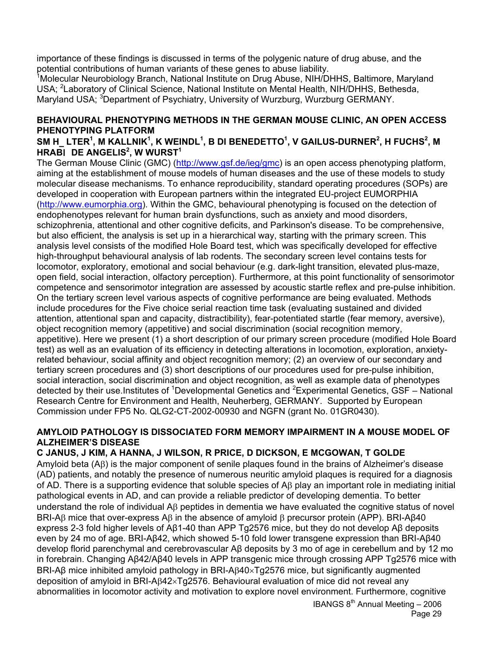importance of these findings is discussed in terms of the polygenic nature of drug abuse, and the potential contributions of human variants of these genes to abuse liability.

<sup>1</sup>Molecular Neurobiology Branch, National Institute on Drug Abuse, NIH/DHHS, Baltimore, Maryland USA; <sup>2</sup> Laboratory of Clinical Science, National Institute on Mental Health, NIH/DHHS, Bethesda, Maryland USA; <sup>3</sup>Department of Psychiatry, University of Wurzburg, Wurzburg GERMANY.

### **BEHAVIOURAL PHENOTYPING METHODS IN THE GERMAN MOUSE CLINIC, AN OPEN ACCESS PHENOTYPING PLATFORM**

### $\mathsf{SM}\ \mathsf{H}\_\mathsf{L}$ LTER $^1$ , M KALLNIK $^1$ , K WEINDL $^1$ , B DI BENEDETTO $^1$ , V GAILUS-DURNER $^2$ , H FUCHS $^2$ , M  $H$ **RABI** DE ANGELIS<sup>2</sup>, W WURST<sup>1</sup>

The German Mouse Clinic (GMC) (http://www.gsf.de/ieg/gmc) is an open access phenotyping platform, aiming at the establishment of mouse models of human diseases and the use of these models to study molecular disease mechanisms. To enhance reproducibility, standard operating procedures (SOPs) are developed in cooperation with European partners within the integrated EU-project EUMORPHIA (http://www.eumorphia.org). Within the GMC, behavioural phenotyping is focused on the detection of endophenotypes relevant for human brain dysfunctions, such as anxiety and mood disorders, schizophrenia, attentional and other cognitive deficits, and Parkinson's disease. To be comprehensive, but also efficient, the analysis is set up in a hierarchical way, starting with the primary screen. This analysis level consists of the modified Hole Board test, which was specifically developed for effective high-throughput behavioural analysis of lab rodents. The secondary screen level contains tests for locomotor, exploratory, emotional and social behaviour (e.g. dark-light transition, elevated plus-maze, open field, social interaction, olfactory perception). Furthermore, at this point functionality of sensorimotor competence and sensorimotor integration are assessed by acoustic startle reflex and pre-pulse inhibition. On the tertiary screen level various aspects of cognitive performance are being evaluated. Methods include procedures for the Five choice serial reaction time task (evaluating sustained and divided attention, attentional span and capacity, distractibility), fear-potentiated startle (fear memory, aversive), object recognition memory (appetitive) and social discrimination (social recognition memory, appetitive). Here we present (1) a short description of our primary screen procedure (modified Hole Board test) as well as an evaluation of its efficiency in detecting alterations in locomotion, exploration, anxietyrelated behaviour, social affinity and object recognition memory; (2) an overview of our secondary and tertiary screen procedures and (3) short descriptions of our procedures used for pre-pulse inhibition, social interaction, social discrimination and object recognition, as well as example data of phenotypes detected by their use. Institutes of <sup>1</sup>Developmental Genetics and <sup>2</sup>Experimental Genetics, GSF – National Research Centre for Environment and Health, Neuherberg, GERMANY. Supported by European Commission under FP5 No. QLG2-CT-2002-00930 and NGFN (grant No. 01GR0430).

#### **AMYLOID PATHOLOGY IS DISSOCIATED FORM MEMORY IMPAIRMENT IN A MOUSE MODEL OF ALZHEIMER'S DISEASE**

### **C JANUS, J KIM, A HANNA, J WILSON, R PRICE, D DICKSON, E MCGOWAN, T GOLDE**

Amyloid beta (Aβ) is the major component of senile plaques found in the brains of Alzheimer's disease (AD) patients, and notably the presence of numerous neuritic amyloid plaques is required for a diagnosis of AD. There is a supporting evidence that soluble species of Aβ play an important role in mediating initial pathological events in AD, and can provide a reliable predictor of developing dementia. To better understand the role of individual Aβ peptides in dementia we have evaluated the cognitive status of novel BRI-Aβ mice that over-express Aβ in the absence of amyloid β precursor protein (APP). BRI-Aβ40 express 2-3 fold higher levels of Aβ1-40 than APP Tg2576 mice, but they do not develop Aβ deposits even by 24 mo of age. BRI-Aβ42, which showed 5-10 fold lower transgene expression than BRI-Aβ40 develop florid parenchymal and cerebrovascular Aβ deposits by 3 mo of age in cerebellum and by 12 mo in forebrain. Changing Aβ42/Aβ40 levels in APP transgenic mice through crossing APP Tg2576 mice with BRI-Aβ mice inhibited amyloid pathology in BRI-Aβ40×Tg2576 mice, but significantly augmented deposition of amyloid in BRI-Aβ42×Tg2576. Behavioural evaluation of mice did not reveal any abnormalities in locomotor activity and motivation to explore novel environment. Furthermore, cognitive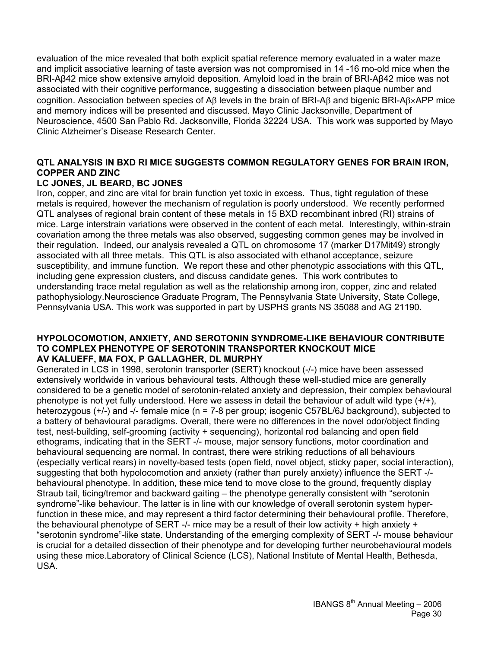evaluation of the mice revealed that both explicit spatial reference memory evaluated in a water maze and implicit associative learning of taste aversion was not compromised in 14 -16 mo-old mice when the BRI-Aβ42 mice show extensive amyloid deposition. Amyloid load in the brain of BRI-Aβ42 mice was not associated with their cognitive performance, suggesting a dissociation between plaque number and cognition. Association between species of Aβ levels in the brain of BRI-Aβ and bigenic BRI-Aβ×APP mice and memory indices will be presented and discussed. Mayo Clinic Jacksonville, Department of Neuroscience, 4500 San Pablo Rd. Jacksonville, Florida 32224 USA. This work was supported by Mayo Clinic Alzheimer's Disease Research Center.

### **QTL ANALYSIS IN BXD RI MICE SUGGESTS COMMON REGULATORY GENES FOR BRAIN IRON, COPPER AND ZINC**

### **LC JONES, JL BEARD, BC JONES**

Iron, copper, and zinc are vital for brain function yet toxic in excess. Thus, tight regulation of these metals is required, however the mechanism of regulation is poorly understood. We recently performed QTL analyses of regional brain content of these metals in 15 BXD recombinant inbred (RI) strains of mice. Large interstrain variations were observed in the content of each metal. Interestingly, within-strain covariation among the three metals was also observed, suggesting common genes may be involved in their regulation. Indeed, our analysis revealed a QTL on chromosome 17 (marker D17Mit49) strongly associated with all three metals. This QTL is also associated with ethanol acceptance, seizure susceptibility, and immune function. We report these and other phenotypic associations with this QTL, including gene expression clusters, and discuss candidate genes. This work contributes to understanding trace metal regulation as well as the relationship among iron, copper, zinc and related pathophysiology.Neuroscience Graduate Program, The Pennsylvania State University, State College, Pennsylvania USA. This work was supported in part by USPHS grants NS 35088 and AG 21190.

#### **HYPOLOCOMOTION, ANXIETY, AND SEROTONIN SYNDROME-LIKE BEHAVIOUR CONTRIBUTE TO COMPLEX PHENOTYPE OF SEROTONIN TRANSPORTER KNOCKOUT MICE AV KALUEFF, MA FOX, P GALLAGHER, DL MURPHY**

Generated in LCS in 1998, serotonin transporter (SERT) knockout (-/-) mice have been assessed extensively worldwide in various behavioural tests. Although these well-studied mice are generally considered to be a genetic model of serotonin-related anxiety and depression, their complex behavioural phenotype is not yet fully understood. Here we assess in detail the behaviour of adult wild type (+/+), heterozygous (+/-) and -/- female mice (n = 7-8 per group; isogenic C57BL/6J background), subjected to a battery of behavioural paradigms. Overall, there were no differences in the novel odor/object finding test, nest-building, self-grooming (activity + sequencing), horizontal rod balancing and open field ethograms, indicating that in the SERT -/- mouse, major sensory functions, motor coordination and behavioural sequencing are normal. In contrast, there were striking reductions of all behaviours (especially vertical rears) in novelty-based tests (open field, novel object, sticky paper, social interaction), suggesting that both hypolocomotion and anxiety (rather than purely anxiety) influence the SERT -/ behavioural phenotype. In addition, these mice tend to move close to the ground, frequently display Straub tail, ticing/tremor and backward gaiting – the phenotype generally consistent with "serotonin syndrome"-like behaviour. The latter is in line with our knowledge of overall serotonin system hyperfunction in these mice, and may represent a third factor determining their behavioural profile. Therefore, the behavioural phenotype of SERT -/- mice may be a result of their low activity  $+$  high anxiety  $+$ "serotonin syndrome"-like state. Understanding of the emerging complexity of SERT -/- mouse behaviour is crucial for a detailed dissection of their phenotype and for developing further neurobehavioural models using these mice.Laboratory of Clinical Science (LCS), National Institute of Mental Health, Bethesda, USA.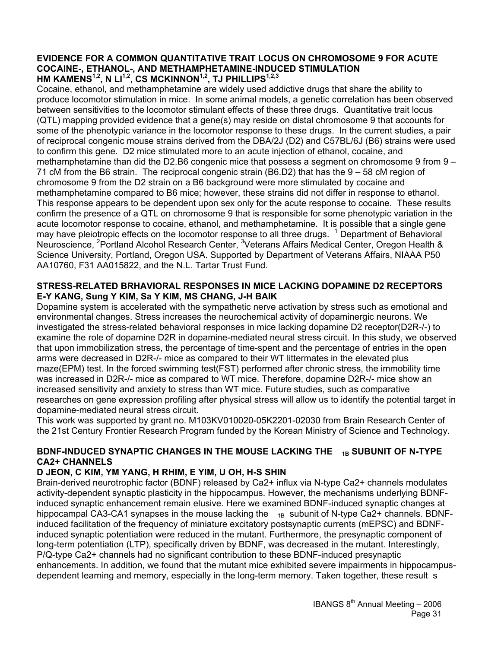#### **EVIDENCE FOR A COMMON QUANTITATIVE TRAIT LOCUS ON CHROMOSOME 9 FOR ACUTE COCAINE-, ETHANOL-, AND METHAMPHETAMINE-INDUCED STIMULATION HM KAMENS1,2, N LI1,2, CS MCKINNON1,2, TJ PHILLIPS1,2,3**

Cocaine, ethanol, and methamphetamine are widely used addictive drugs that share the ability to produce locomotor stimulation in mice. In some animal models, a genetic correlation has been observed between sensitivities to the locomotor stimulant effects of these three drugs. Quantitative trait locus (QTL) mapping provided evidence that a gene(s) may reside on distal chromosome 9 that accounts for some of the phenotypic variance in the locomotor response to these drugs. In the current studies, a pair of reciprocal congenic mouse strains derived from the DBA/2J (D2) and C57BL/6J (B6) strains were used to confirm this gene. D2 mice stimulated more to an acute injection of ethanol, cocaine, and methamphetamine than did the D2.B6 congenic mice that possess a segment on chromosome 9 from 9 – 71 cM from the B6 strain. The reciprocal congenic strain (B6.D2) that has the 9 – 58 cM region of chromosome 9 from the D2 strain on a B6 background were more stimulated by cocaine and methamphetamine compared to B6 mice; however, these strains did not differ in response to ethanol. This response appears to be dependent upon sex only for the acute response to cocaine. These results confirm the presence of a QTL on chromosome 9 that is responsible for some phenotypic variation in the acute locomotor response to cocaine, ethanol, and methamphetamine. It is possible that a single gene may have pleiotropic effects on the locomotor response to all three drugs. <sup>1</sup> Department of Behavioral Neuroscience, <sup>2</sup>Portland Alcohol Research Center, <sup>3</sup>Veterans Affairs Medical Center, Oregon Health & Science University, Portland, Oregon USA. Supported by Department of Veterans Affairs, NIAAA P50 AA10760, F31 AA015822, and the N.L. Tartar Trust Fund.

#### **STRESS-RELATED BRHAVIORAL RESPONSES IN MICE LACKING DOPAMINE D2 RECEPTORS E-Y KANG, Sung Y KIM, Sa Y KIM, MS CHANG, J-H BAIK**

Dopamine system is accelerated with the sympathetic nerve activation by stress such as emotional and environmental changes. Stress increases the neurochemical activity of dopaminergic neurons. We investigated the stress-related behavioral responses in mice lacking dopamine D2 receptor(D2R-/-) to examine the role of dopamine D2R in dopamine-mediated neural stress circuit. In this study, we observed that upon immobilization stress, the percentage of time-spent and the percentage of entries in the open arms were decreased in D2R-/- mice as compared to their WT littermates in the elevated plus maze(EPM) test. In the forced swimming test(FST) performed after chronic stress, the immobility time was increased in D2R-/- mice as compared to WT mice. Therefore, dopamine D2R-/- mice show an increased sensitivity and anxiety to stress than WT mice. Future studies, such as comparative researches on gene expression profiling after physical stress will allow us to identify the potential target in dopamine-mediated neural stress circuit.

This work was supported by grant no. M103KV010020-05K2201-02030 from Brain Research Center of the 21st Century Frontier Research Program funded by the Korean Ministry of Science and Technology.

### BDNF-INDUCED SYNAPTIC CHANGES IN THE MOUSE LACKING THE <sub>1B</sub> SUBUNIT OF N-TYPE **CA2+ CHANNELS**

#### **D JEON, C KIM, YM YANG, H RHIM, E YIM, U OH, H-S SHIN**

Brain-derived neurotrophic factor (BDNF) released by Ca2+ influx via N-type Ca2+ channels modulates activity-dependent synaptic plasticity in the hippocampus. However, the mechanisms underlying BDNFinduced synaptic enhancement remain elusive. Here we examined BDNF-induced synaptic changes at hippocampal CA3-CA1 synapses in the mouse lacking the  $_{1B}$  subunit of N-type Ca2+ channels. BDNFinduced facilitation of the frequency of miniature excitatory postsynaptic currents (mEPSC) and BDNFinduced synaptic potentiation were reduced in the mutant. Furthermore, the presynaptic component of long-term potentiation (LTP), specifically driven by BDNF, was decreased in the mutant. Interestingly, P/Q-type Ca2+ channels had no significant contribution to these BDNF-induced presynaptic enhancements. In addition, we found that the mutant mice exhibited severe impairments in hippocampusdependent learning and memory, especially in the long-term memory. Taken together, these result s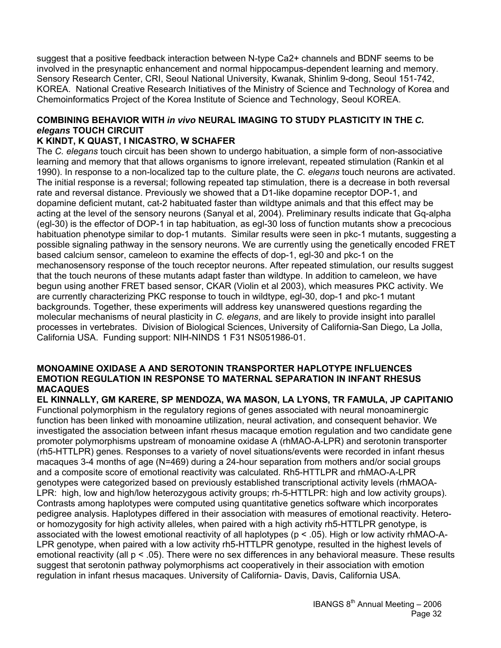suggest that a positive feedback interaction between N-type Ca2+ channels and BDNF seems to be involved in the presynaptic enhancement and normal hippocampus-dependent learning and memory. Sensory Research Center, CRI, Seoul National University, Kwanak, Shinlim 9-dong, Seoul 151-742, KOREA. National Creative Research Initiatives of the Ministry of Science and Technology of Korea and Chemoinformatics Project of the Korea Institute of Science and Technology, Seoul KOREA.

### **COMBINING BEHAVIOR WITH** *in vivo* **NEURAL IMAGING TO STUDY PLASTICITY IN THE** *C. elegans* **TOUCH CIRCUIT**

### **K KINDT, K QUAST, I NICASTRO, W SCHAFER**

The *C. elegans* touch circuit has been shown to undergo habituation, a simple form of non-associative learning and memory that that allows organisms to ignore irrelevant, repeated stimulation (Rankin et al 1990). In response to a non-localized tap to the culture plate, the *C. elegans* touch neurons are activated. The initial response is a reversal; following repeated tap stimulation, there is a decrease in both reversal rate and reversal distance. Previously we showed that a D1-like dopamine receptor DOP-1, and dopamine deficient mutant, cat-2 habituated faster than wildtype animals and that this effect may be acting at the level of the sensory neurons (Sanyal et al, 2004). Preliminary results indicate that Gq-alpha (egl-30) is the effector of DOP-1 in tap habituation, as egl-30 loss of function mutants show a precocious habituation phenotype similar to dop-1 mutants. Similar results were seen in pkc-1 mutants, suggesting a possible signaling pathway in the sensory neurons. We are currently using the genetically encoded FRET based calcium sensor, cameleon to examine the effects of dop-1, egl-30 and pkc-1 on the mechanosensory response of the touch receptor neurons. After repeated stimulation, our results suggest that the touch neurons of these mutants adapt faster than wildtype. In addition to cameleon, we have begun using another FRET based sensor, CKAR (Violin et al 2003), which measures PKC activity. We are currently characterizing PKC response to touch in wildtype, egl-30, dop-1 and pkc-1 mutant backgrounds. Together, these experiments will address key unanswered questions regarding the molecular mechanisms of neural plasticity in *C. elegans*, and are likely to provide insight into parallel processes in vertebrates. Division of Biological Sciences, University of California-San Diego, La Jolla, California USA. Funding support: NIH-NINDS 1 F31 NS051986-01.

#### **MONOAMINE OXIDASE A AND SEROTONIN TRANSPORTER HAPLOTYPE INFLUENCES EMOTION REGULATION IN RESPONSE TO MATERNAL SEPARATION IN INFANT RHESUS MACAQUES**

**EL KINNALLY, GM KARERE, SP MENDOZA, WA MASON, LA LYONS, TR FAMULA, JP CAPITANIO**  Functional polymorphism in the regulatory regions of genes associated with neural monoaminergic function has been linked with monoamine utilization, neural activation, and consequent behavior. We investigated the association between infant rhesus macaque emotion regulation and two candidate gene promoter polymorphisms upstream of monoamine oxidase A (rhMAO-A-LPR) and serotonin transporter (rh5-HTTLPR) genes. Responses to a variety of novel situations/events were recorded in infant rhesus macaques 3-4 months of age (N=469) during a 24-hour separation from mothers and/or social groups and a composite score of emotional reactivity was calculated. Rh5-HTTLPR and rhMAO-A-LPR genotypes were categorized based on previously established transcriptional activity levels (rhMAOA-LPR: high, low and high/low heterozygous activity groups; rh-5-HTTLPR: high and low activity groups). Contrasts among haplotypes were computed using quantitative genetics software which incorporates pedigree analysis. Haplotypes differed in their association with measures of emotional reactivity. Heteroor homozygosity for high activity alleles, when paired with a high activity rh5-HTTLPR genotype, is associated with the lowest emotional reactivity of all haplotypes ( $p < .05$ ). High or low activity rhMAO-A-LPR genotype, when paired with a low activity rh5-HTTLPR genotype, resulted in the highest levels of emotional reactivity (all  $p < .05$ ). There were no sex differences in any behavioral measure. These results suggest that serotonin pathway polymorphisms act cooperatively in their association with emotion regulation in infant rhesus macaques. University of California- Davis, Davis, California USA.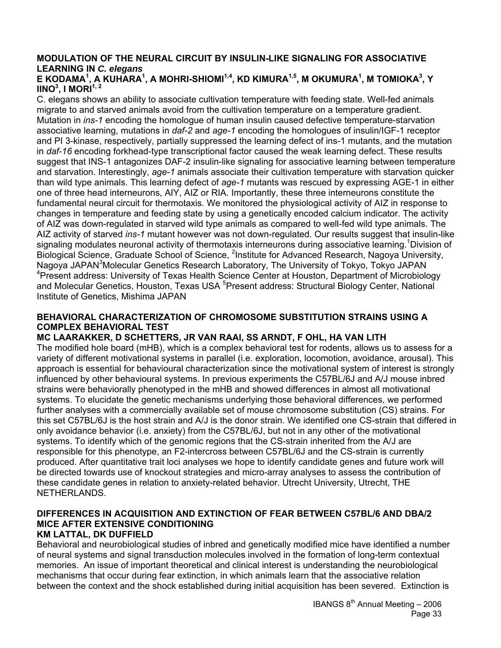### **MODULATION OF THE NEURAL CIRCUIT BY INSULIN-LIKE SIGNALING FOR ASSOCIATIVE LEARNING IN** *C. elegans*

### E KODAMA<sup>1</sup>, A KUHARA<sup>1</sup>, A MOHRI-SHIOMI<sup>1,4</sup>, KD KIMURA<sup>1,5</sup>, M OKUMURA<sup>1</sup>, M TOMIOKA<sup>3</sup>, Y **IINO3 , I MORI1, 2**

C. elegans shows an ability to associate cultivation temperature with feeding state. Well-fed animals migrate to and starved animals avoid from the cultivation temperature on a temperature gradient. Mutation in *ins-1* encoding the homologue of human insulin caused defective temperature-starvation associative learning, mutations in *daf-2* and *age-1* encoding the homologues of insulin/IGF-1 receptor and PI 3-kinase, respectively, partially suppressed the learning defect of ins-1 mutants, and the mutation in *daf-16* encoding forkhead-type transcriptional factor caused the weak learning defect. These results suggest that INS-1 antagonizes DAF-2 insulin-like signaling for associative learning between temperature and starvation. Interestingly, *age-1* animals associate their cultivation temperature with starvation quicker than wild type animals. This learning defect of *age-1* mutants was rescued by expressing AGE-1 in either one of three head interneurons, AIY, AIZ or RIA. Importantly, these three interneurons constitute the fundamental neural circuit for thermotaxis. We monitored the physiological activity of AIZ in response to changes in temperature and feeding state by using a genetically encoded calcium indicator. The activity of AIZ was down-regulated in starved wild type animals as compared to well-fed wild type animals. The AIZ activity of starved *ins-1* mutant however was not down-regulated. Our results suggest that insulin-like signaling modulates neuronal activity of thermotaxis interneurons during associative learning. <sup>1</sup>Division of Biological Science, Graduate School of Science, <sup>2</sup>Institute for Advanced Research, Nagoya University, Nagoya JAPAN<sup>3</sup>Molecular Genetics Research Laboratory, The University of Tokyo, Tokyo JAPAN <sup>4</sup> Present address: University of Texas Health Science Center at Houston, Department of Microbiology and Molecular Genetics, Houston, Texas USA <sup>5</sup>Present address: Structural Biology Center, National Institute of Genetics, Mishima JAPAN

### **BEHAVIORAL CHARACTERIZATION OF CHROMOSOME SUBSTITUTION STRAINS USING A COMPLEX BEHAVIORAL TEST**

### **MC LAARAKKER, D SCHETTERS, JR VAN RAAI, SS ARNDT, F OHL, HA VAN LITH**

The modified hole board (mHB), which is a complex behavioral test for rodents, allows us to assess for a variety of different motivational systems in parallel (i.e. exploration, locomotion, avoidance, arousal). This approach is essential for behavioural characterization since the motivational system of interest is strongly influenced by other behavioural systems. In previous experiments the C57BL/6J and A/J mouse inbred strains were behaviorally phenotyped in the mHB and showed differences in almost all motivational systems. To elucidate the genetic mechanisms underlying those behavioral differences, we performed further analyses with a commercially available set of mouse chromosome substitution (CS) strains. For this set C57BL/6J is the host strain and A/J is the donor strain. We identified one CS-strain that differed in only avoidance behavior (i.e. anxiety) from the C57BL/6J, but not in any other of the motivational systems. To identify which of the genomic regions that the CS-strain inherited from the A/J are responsible for this phenotype, an F2-intercross between C57BL/6J and the CS-strain is currently produced. After quantitative trait loci analyses we hope to identify candidate genes and future work will be directed towards use of knockout strategies and micro-array analyses to assess the contribution of these candidate genes in relation to anxiety-related behavior. Utrecht University, Utrecht, THE NETHERLANDS.

## **DIFFERENCES IN ACQUISITION AND EXTINCTION OF FEAR BETWEEN C57BL/6 AND DBA/2 MICE AFTER EXTENSIVE CONDITIONING**

### **KM LATTAL, DK DUFFIELD**

Behavioral and neurobiological studies of inbred and genetically modified mice have identified a number of neural systems and signal transduction molecules involved in the formation of long-term contextual memories. An issue of important theoretical and clinical interest is understanding the neurobiological mechanisms that occur during fear extinction, in which animals learn that the associative relation between the context and the shock established during initial acquisition has been severed. Extinction is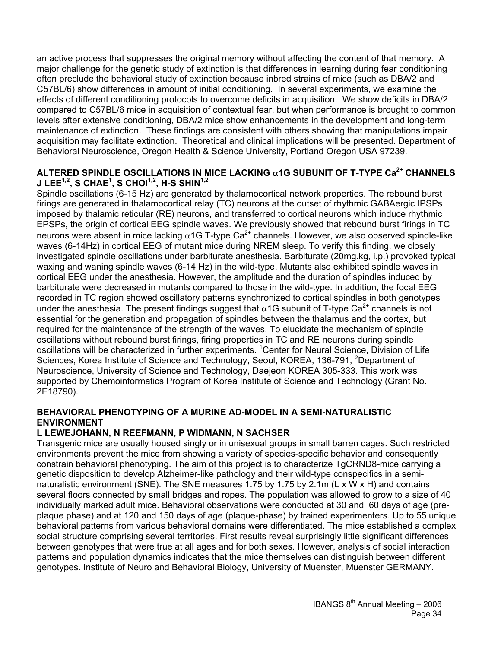an active process that suppresses the original memory without affecting the content of that memory. A major challenge for the genetic study of extinction is that differences in learning during fear conditioning often preclude the behavioral study of extinction because inbred strains of mice (such as DBA/2 and C57BL/6) show differences in amount of initial conditioning. In several experiments, we examine the effects of different conditioning protocols to overcome deficits in acquisition. We show deficits in DBA/2 compared to C57BL/6 mice in acquisition of contextual fear, but when performance is brought to common levels after extensive conditioning, DBA/2 mice show enhancements in the development and long-term maintenance of extinction. These findings are consistent with others showing that manipulations impair acquisition may facilitate extinction. Theoretical and clinical implications will be presented. Department of Behavioral Neuroscience, Oregon Health & Science University, Portland Oregon USA 97239.

#### **ALTERED SPINDLE OSCILLATIONS IN MICE LACKING** α**1G SUBUNIT OF T-TYPE Ca2+ CHANNELS J LEE1,2, S CHAE1 , S CHOI1,2, H-S SHIN1,2**

Spindle oscillations (6-15 Hz) are generated by thalamocortical network properties. The rebound burst firings are generated in thalamocortical relay (TC) neurons at the outset of rhythmic GABAergic IPSPs imposed by thalamic reticular (RE) neurons, and transferred to cortical neurons which induce rhythmic EPSPs, the origin of cortical EEG spindle waves. We previously showed that rebound burst firings in TC neurons were absent in mice lacking  $α1G$  T-type  $Ca<sup>2+</sup>$  channels. However, we also observed spindle-like waves (6-14Hz) in cortical EEG of mutant mice during NREM sleep. To verify this finding, we closely investigated spindle oscillations under barbiturate anesthesia. Barbiturate (20mg.kg, i.p.) provoked typical waxing and waning spindle waves (6-14 Hz) in the wild-type. Mutants also exhibited spindle waves in cortical EEG under the anesthesia. However, the amplitude and the duration of spindles induced by barbiturate were decreased in mutants compared to those in the wild-type. In addition, the focal EEG recorded in TC region showed oscillatory patterns synchronized to cortical spindles in both genotypes under the anesthesia. The present findings suggest that  $\alpha$ 1G subunit of T-type Ca<sup>2+</sup> channels is not essential for the generation and propagation of spindles between the thalamus and the cortex, but required for the maintenance of the strength of the waves. To elucidate the mechanism of spindle oscillations without rebound burst firings, firing properties in TC and RE neurons during spindle oscillations will be characterized in further experiments. <sup>1</sup> Center for Neural Science, Division of Life Sciences, Korea Institute of Science and Technology, Seoul, KOREA, 136-791, <sup>2</sup>Department of Neuroscience, University of Science and Technology, Daejeon KOREA 305-333. This work was supported by Chemoinformatics Program of Korea Institute of Science and Technology (Grant No. 2E18790).

### **BEHAVIORAL PHENOTYPING OF A MURINE AD-MODEL IN A SEMI-NATURALISTIC ENVIRONMENT**

### **L LEWEJOHANN, N REEFMANN, P WIDMANN, N SACHSER**

Transgenic mice are usually housed singly or in unisexual groups in small barren cages. Such restricted environments prevent the mice from showing a variety of species-specific behavior and consequently constrain behavioral phenotyping. The aim of this project is to characterize TgCRND8-mice carrying a genetic disposition to develop Alzheimer-like pathology and their wild-type conspecifics in a seminaturalistic environment (SNE). The SNE measures 1.75 by 1.75 by 2.1m (L x W x H) and contains several floors connected by small bridges and ropes. The population was allowed to grow to a size of 40 individually marked adult mice. Behavioral observations were conducted at 30 and 60 days of age (preplaque phase) and at 120 and 150 days of age (plaque-phase) by trained experimenters. Up to 55 unique behavioral patterns from various behavioral domains were differentiated. The mice established a complex social structure comprising several territories. First results reveal surprisingly little significant differences between genotypes that were true at all ages and for both sexes. However, analysis of social interaction patterns and population dynamics indicates that the mice themselves can distinguish between different genotypes. Institute of Neuro and Behavioral Biology, University of Muenster, Muenster GERMANY.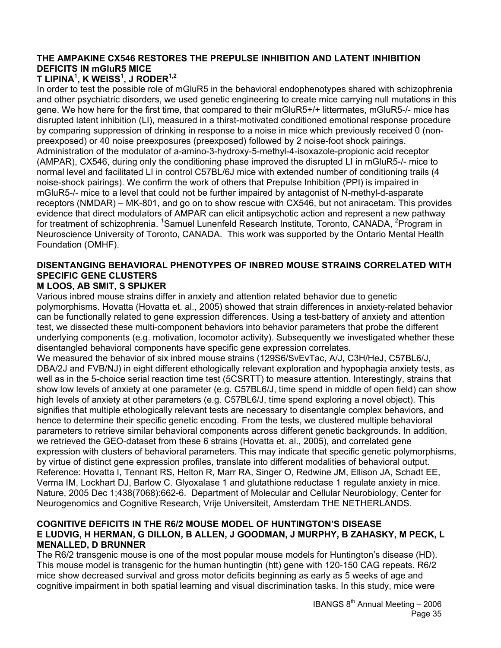### **THE AMPAKINE CX546 RESTORES THE PREPULSE INHIBITION AND LATENT INHIBITION DEFICITS IN mGluR5 MICE**

### **T LIPINA1 , K WEISS1 , J RODER1,2**

In order to test the possible role of mGluR5 in the behavioral endophenotypes shared with schizophrenia and other psychiatric disorders, we used genetic engineering to create mice carrying null mutations in this gene. We how here for the first time, that compared to their mGluR5+/+ littermates, mGluR5-/- mice has disrupted latent inhibition (LI), measured in a thirst-motivated conditioned emotional response procedure by comparing suppression of drinking in response to a noise in mice which previously received 0 (nonpreexposed) or 40 noise preexposures (preexposed) followed by 2 noise-foot shock pairings. Administration of the modulator of a-amino-3-hydroxy-5-methyl-4-isoxazole-propionic acid receptor (AMPAR), CX546, during only the conditioning phase improved the disrupted LI in mGluR5-/- mice to normal level and facilitated LI in control C57BL/6J mice with extended number of conditioning trails (4 noise-shock pairings). We confirm the work of others that Prepulse Inhibition (PPI) is impaired in mGluR5-/- mice to a level that could not be further impaired by antagonist of N-methyl-d-asparate receptors (NMDAR) – MK-801, and go on to show rescue with CX546, but not aniracetam. This provides evidence that direct modulators of AMPAR can elicit antipsychotic action and represent a new pathway for treatment of schizophrenia. <sup>1</sup>Samuel Lunenfeld Research Institute, Toronto, CANADA, <sup>2</sup>Program in Neuroscience University of Toronto, CANADA. This work was supported by the Ontario Mental Health Foundation (OMHF).

### **DISENTANGING BEHAVIORAL PHENOTYPES OF INBRED MOUSE STRAINS CORRELATED WITH SPECIFIC GENE CLUSTERS**

### **M LOOS, AB SMIT, S SPIJKER**

Various inbred mouse strains differ in anxiety and attention related behavior due to genetic polymorphisms. Hovatta (Hovatta et. al., 2005) showed that strain differences in anxiety-related behavior can be functionally related to gene expression differences. Using a test-battery of anxiety and attention test, we dissected these multi-component behaviors into behavior parameters that probe the different underlying components (e.g. motivation, locomotor activity). Subsequently we investigated whether these disentangled behavioral components have specific gene expression correlates.

We measured the behavior of six inbred mouse strains (129S6/SvEvTac, A/J, C3H/HeJ, C57BL6/J, DBA/2J and FVB/NJ) in eight different ethologically relevant exploration and hypophagia anxiety tests, as well as in the 5-choice serial reaction time test (5CSRTT) to measure attention. Interestingly, strains that show low levels of anxiety at one parameter (e.g. C57BL6/J, time spend in middle of open field) can show high levels of anxiety at other parameters (e.g. C57BL6/J, time spend exploring a novel object). This signifies that multiple ethologically relevant tests are necessary to disentangle complex behaviors, and hence to determine their specific genetic encoding. From the tests, we clustered multiple behavioral parameters to retrieve similar behavioral components across different genetic backgrounds. In addition, we retrieved the GEO-dataset from these 6 strains (Hovatta et. al., 2005), and correlated gene expression with clusters of behavioral parameters. This may indicate that specific genetic polymorphisms, by virtue of distinct gene expression profiles, translate into different modalities of behavioral output. Reference: Hovatta I, Tennant RS, Helton R, Marr RA, Singer O, Redwine JM, Ellison JA, Schadt EE, Verma IM, Lockhart DJ, Barlow C. Glyoxalase 1 and glutathione reductase 1 regulate anxiety in mice. Nature, 2005 Dec 1;438(7068):662-6. Department of Molecular and Cellular Neurobiology, Center for Neurogenomics and Cognitive Research, Vrije Universiteit, Amsterdam THE NETHERLANDS.

### **COGNITIVE DEFICITS IN THE R6/2 MOUSE MODEL OF HUNTINGTON'S DISEASE E LUDVIG, H HERMAN, G DILLON, B ALLEN, J GOODMAN, J MURPHY, B ZAHASKY, M PECK, L MENALLED, D BRUNNER**

The R6/2 transgenic mouse is one of the most popular mouse models for Huntington's disease (HD). This mouse model is transgenic for the human huntingtin (htt) gene with 120-150 CAG repeats. R6/2 mice show decreased survival and gross motor deficits beginning as early as 5 weeks of age and cognitive impairment in both spatial learning and visual discrimination tasks. In this study, mice were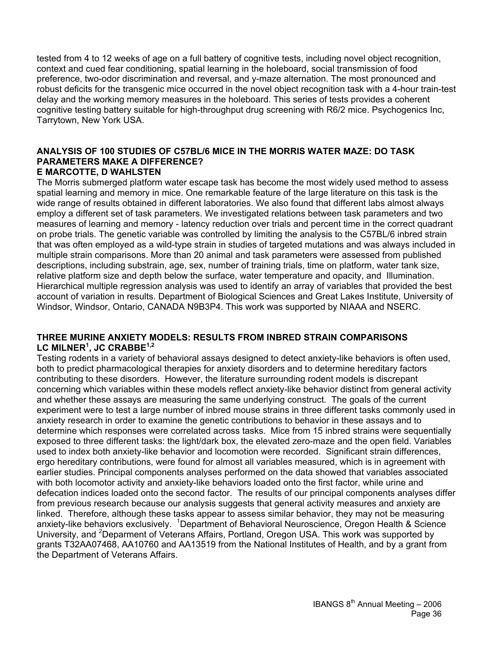tested from 4 to 12 weeks of age on a full battery of cognitive tests, including novel object recognition, context and cued fear conditioning, spatial learning in the holeboard, social transmission of food preference, two-odor discrimination and reversal, and y-maze alternation. The most pronounced and robust deficits for the transgenic mice occurred in the novel object recognition task with a 4-hour train-test delay and the working memory measures in the holeboard. This series of tests provides a coherent cognitive testing battery suitable for high-throughput drug screening with R6/2 mice. Psychogenics Inc, Tarrytown, New York USA.

#### **ANALYSIS OF 100 STUDIES OF C57BL/6 MICE IN THE MORRIS WATER MAZE: DO TASK PARAMETERS MAKE A DIFFERENCE? E MARCOTTE, D WAHLSTEN**

The Morris submerged platform water escape task has become the most widely used method to assess spatial learning and memory in mice. One remarkable feature of the large literature on this task is the wide range of results obtained in different laboratories. We also found that different labs almost always employ a different set of task parameters. We investigated relations between task parameters and two measures of learning and memory - latency reduction over trials and percent time in the correct quadrant on probe trials. The genetic variable was controlled by limiting the analysis to the C57BL/6 inbred strain that was often employed as a wild-type strain in studies of targeted mutations and was always included in multiple strain comparisons. More than 20 animal and task parameters were assessed from published descriptions, including substrain, age, sex, number of training trials, time on platform, water tank size, relative platform size and depth below the surface, water temperature and opacity, and Illumination. Hierarchical multiple regression analysis was used to identify an array of variables that provided the best account of variation in results. Department of Biological Sciences and Great Lakes Institute, University of Windsor, Windsor, Ontario, CANADA N9B3P4. This work was supported by NIAAA and NSERC.

#### **THREE MURINE ANXIETY MODELS: RESULTS FROM INBRED STRAIN COMPARISONS LC MILNER<sup>1</sup> , JC CRABBE1,2**

Testing rodents in a variety of behavioral assays designed to detect anxiety-like behaviors is often used, both to predict pharmacological therapies for anxiety disorders and to determine hereditary factors contributing to these disorders. However, the literature surrounding rodent models is discrepant concerning which variables within these models reflect anxiety-like behavior distinct from general activity and whether these assays are measuring the same underlying construct. The goals of the current experiment were to test a large number of inbred mouse strains in three different tasks commonly used in anxiety research in order to examine the genetic contributions to behavior in these assays and to determine which responses were correlated across tasks. Mice from 15 inbred strains were sequentially exposed to three different tasks: the light/dark box, the elevated zero-maze and the open field. Variables used to index both anxiety-like behavior and locomotion were recorded. Significant strain differences, ergo hereditary contributions, were found for almost all variables measured, which is in agreement with earlier studies. Principal components analyses performed on the data showed that variables associated with both locomotor activity and anxiety-like behaviors loaded onto the first factor, while urine and defecation indices loaded onto the second factor. The results of our principal components analyses differ from previous research because our analysis suggests that general activity measures and anxiety are linked. Therefore, although these tasks appear to assess similar behavior, they may not be measuring anxiety-like behaviors exclusively. <sup>1</sup>Department of Behavioral Neuroscience, Oregon Health & Science University, and <sup>2</sup>Deparment of Veterans Affairs, Portland, Oregon USA. This work was supported by grants T32AA07468, AA10760 and AA13519 from the National Institutes of Health, and by a grant from the Department of Veterans Affairs.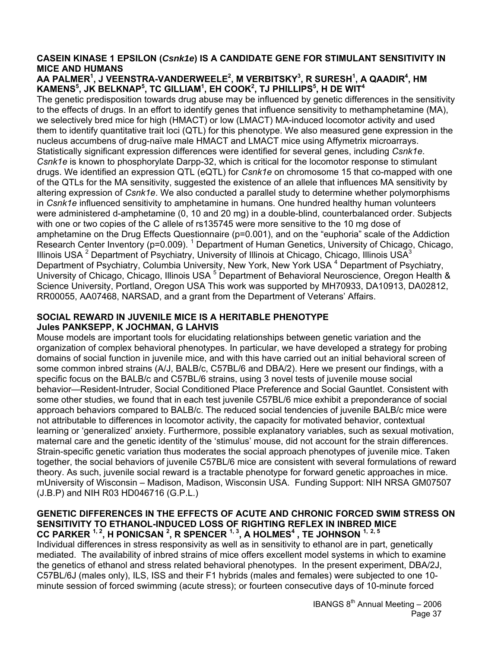#### **CASEIN KINASE 1 EPSILON (***Csnk1e***) IS A CANDIDATE GENE FOR STIMULANT SENSITIVITY IN MICE AND HUMANS**

#### AA PALMER<sup>1</sup>, J VEENSTRA-VANDERWEELE<sup>2</sup>, M VERBITSKY<sup>3</sup>, R SURESH<sup>1</sup>, A QAADIR<sup>4</sup>, HM **KAMENS<sup>5</sup> , JK BELKNAP<sup>5</sup> , TC GILLIAM1 , EH COOK2 , TJ PHILLIPS5 , H DE WIT<sup>4</sup>**

The genetic predisposition towards drug abuse may be influenced by genetic differences in the sensitivity to the effects of drugs. In an effort to identify genes that influence sensitivity to methamphetamine (MA), we selectively bred mice for high (HMACT) or low (LMACT) MA-induced locomotor activity and used them to identify quantitative trait loci (QTL) for this phenotype. We also measured gene expression in the nucleus accumbens of drug-naïve male HMACT and LMACT mice using Affymetrix microarrays. Statistically significant expression differences were identified for several genes, including *Csnk1e*. *Csnk1e* is known to phosphorylate Darpp-32, which is critical for the locomotor response to stimulant drugs. We identified an expression QTL (eQTL) for *Csnk1e* on chromosome 15 that co-mapped with one of the QTLs for the MA sensitivity, suggested the existence of an allele that influences MA sensitivity by altering expression of *Csnk1e*. We also conducted a parallel study to determine whether polymorphisms in *Csnk1e* influenced sensitivity to amphetamine in humans. One hundred healthy human volunteers were administered d-amphetamine (0, 10 and 20 mg) in a double-blind, counterbalanced order. Subjects with one or two copies of the C allele of rs135745 were more sensitive to the 10 mg dose of amphetamine on the Drug Effects Questionnaire (p=0.001), and on the "euphoria" scale of the Addiction Research Center Inventory (p=0.009). <sup>1</sup> Department of Human Genetics, University of Chicago, Chicago, Illinois USA <sup>2</sup> Department of Psychiatry, University of Illinois at Chicago, Chicago, Illinois USA<sup>3</sup> Department of Psychiatry, Columbia University, New York, New York USA<sup>4</sup> Department of Psychiatry, University of Chicago, Chicago, Illinois USA<sup>5</sup> Department of Behavioral Neuroscience, Oregon Health & Science University, Portland, Oregon USA This work was supported by MH70933, DA10913, DA02812, RR00055, AA07468, NARSAD, and a grant from the Department of Veterans' Affairs.

#### **SOCIAL REWARD IN JUVENILE MICE IS A HERITABLE PHENOTYPE Jules PANKSEPP, K JOCHMAN, G LAHVIS**

Mouse models are important tools for elucidating relationships between genetic variation and the organization of complex behavioral phenotypes. In particular, we have developed a strategy for probing domains of social function in juvenile mice, and with this have carried out an initial behavioral screen of some common inbred strains (A/J, BALB/c, C57BL/6 and DBA/2). Here we present our findings, with a specific focus on the BALB/c and C57BL/6 strains, using 3 novel tests of juvenile mouse social behavior—Resident-Intruder, Social Conditioned Place Preference and Social Gauntlet. Consistent with some other studies, we found that in each test juvenile C57BL/6 mice exhibit a preponderance of social approach behaviors compared to BALB/c. The reduced social tendencies of juvenile BALB/c mice were not attributable to differences in locomotor activity, the capacity for motivated behavior, contextual learning or 'generalized' anxiety. Furthermore, possible explanatory variables, such as sexual motivation, maternal care and the genetic identity of the 'stimulus' mouse, did not account for the strain differences. Strain-specific genetic variation thus moderates the social approach phenotypes of juvenile mice. Taken together, the social behaviors of juvenile C57BL/6 mice are consistent with several formulations of reward theory. As such, juvenile social reward is a tractable phenotype for forward genetic approaches in mice. mUniversity of Wisconsin – Madison, Madison, Wisconsin USA. Funding Support: NIH NRSA GM07507 (J.B.P) and NIH R03 HD046716 (G.P.L.)

#### **GENETIC DIFFERENCES IN THE EFFECTS OF ACUTE AND CHRONIC FORCED SWIM STRESS ON SENSITIVITY TO ETHANOL-INDUCED LOSS OF RIGHTING REFLEX IN INBRED MICE CC PARKER 1, 2, H PONICSAN 2 , R SPENCER 1, 3, A HOLMES4 , TE JOHNSON 1, 2, 5**

Individual differences in stress responsivity as well as in sensitivity to ethanol are in part, genetically mediated. The availability of inbred strains of mice offers excellent model systems in which to examine the genetics of ethanol and stress related behavioral phenotypes. In the present experiment, DBA/2J, C57BL/6J (males only), ILS, ISS and their F1 hybrids (males and females) were subjected to one 10 minute session of forced swimming (acute stress); or fourteen consecutive days of 10-minute forced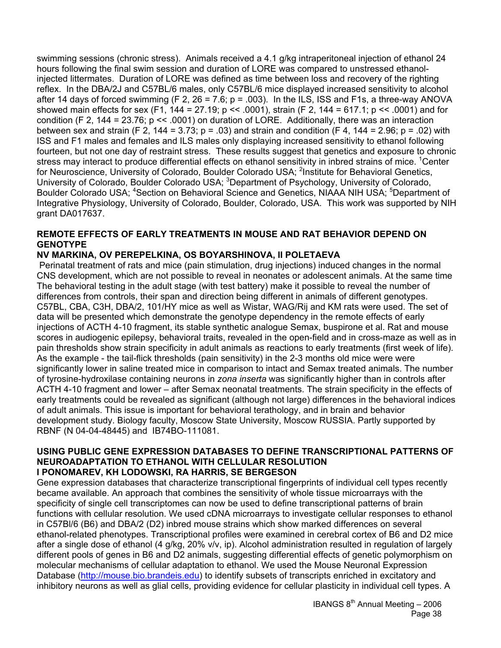swimming sessions (chronic stress). Animals received a 4.1 g/kg intraperitoneal injection of ethanol 24 hours following the final swim session and duration of LORE was compared to unstressed ethanolinjected littermates. Duration of LORE was defined as time between loss and recovery of the righting reflex. In the DBA/2J and C57BL/6 males, only C57BL/6 mice displayed increased sensitivity to alcohol after 14 days of forced swimming (F 2, 26 = 7.6;  $p = .003$ ). In the ILS, ISS and F1s, a three-way ANOVA showed main effects for sex (F1, 144 = 27.19; p << .0001), strain (F 2, 144 = 617.1; p << .0001) and for condition (F 2, 144 = 23.76; p << .0001) on duration of LORE. Additionally, there was an interaction between sex and strain (F 2, 144 = 3.73; p = .03) and strain and condition (F 4, 144 = 2.96; p = .02) with ISS and F1 males and females and ILS males only displaying increased sensitivity to ethanol following fourteen, but not one day of restraint stress. These results suggest that genetics and exposure to chronic stress may interact to produce differential effects on ethanol sensitivity in inbred strains of mice. <sup>1</sup>Center for Neuroscience, University of Colorado, Boulder Colorado USA; <sup>2</sup>Institute for Behavioral Genetics, University of Colorado, Boulder Colorado USA; <sup>3</sup>Department of Psychology, University of Colorado, Boulder Colorado USA; <sup>4</sup>Section on Behavioral Science and Genetics, NIAAA NIH USA; <sup>5</sup>Department of Integrative Physiology, University of Colorado, Boulder, Colorado, USA. This work was supported by NIH grant DA017637.

### **REMOTE EFFECTS OF EARLY TREATMENTS IN MOUSE AND RAT BEHAVIOR DEPEND ON GENOTYPE**

### **NV MARKINA, OV PEREPELKINA, OS BOYARSHINOVA, II POLETAEVA**

 Perinatal treatment of rats and mice (pain stimulation, drug injections) induced changes in the normal CNS development, which are not possible to reveal in neonates or adolescent animals. At the same time The behavioral testing in the adult stage (with test battery) make it possible to reveal the number of differences from controls, their span and direction being different in animals of different genotypes. C57BL, CBA, C3H, DBA/2, 101/HY mice as well as Wistar, WAG/Rij and KM rats were used. The set of data will be presented which demonstrate the genotype dependency in the remote effects of early injections of ACTH 4-10 fragment, its stable synthetic analogue Semax, buspirone et al. Rat and mouse scores in audiogenic epilepsy, behavioral traits, revealed in the open-field and in cross-maze as well as in pain thresholds show strain specificity in adult animals as reactions to early treatments (first week of life). As the example - the tail-flick thresholds (pain sensitivity) in the 2-3 months old mice were were significantly lower in saline treated mice in comparison to intact and Semax treated animals. The number of tyrosine-hydroxilase containing neurons in *zona inserta* was significantly higher than in controls after ACTH 4-10 fragment and lower – after Semax neonatal treatments. The strain specificity in the effects of early treatments could be revealed as significant (although not large) differences in the behavioral indices of adult animals. This issue is important for behavioral terathology, and in brain and behavior development study. Biology faculty, Moscow State University, Moscow RUSSIA. Partly supported by RBNF (N 04-04-48445) and IB74BO-111081.

#### **USING PUBLIC GENE EXPRESSION DATABASES TO DEFINE TRANSCRIPTIONAL PATTERNS OF NEUROADAPTATION TO ETHANOL WITH CELLULAR RESOLUTION I PONOMAREV, KH LODOWSKI, RA HARRIS, SE BERGESON**

Gene expression databases that characterize transcriptional fingerprints of individual cell types recently became available. An approach that combines the sensitivity of whole tissue microarrays with the specificity of single cell transcriptomes can now be used to define transcriptional patterns of brain functions with cellular resolution. We used cDNA microarrays to investigate cellular responses to ethanol in C57Bl/6 (B6) and DBA/2 (D2) inbred mouse strains which show marked differences on several ethanol-related phenotypes. Transcriptional profiles were examined in cerebral cortex of B6 and D2 mice after a single dose of ethanol (4 g/kg, 20% v/v, ip). Alcohol administration resulted in regulation of largely different pools of genes in B6 and D2 animals, suggesting differential effects of genetic polymorphism on molecular mechanisms of cellular adaptation to ethanol. We used the Mouse Neuronal Expression Database (http://mouse.bio.brandeis.edu) to identify subsets of transcripts enriched in excitatory and inhibitory neurons as well as glial cells, providing evidence for cellular plasticity in individual cell types. A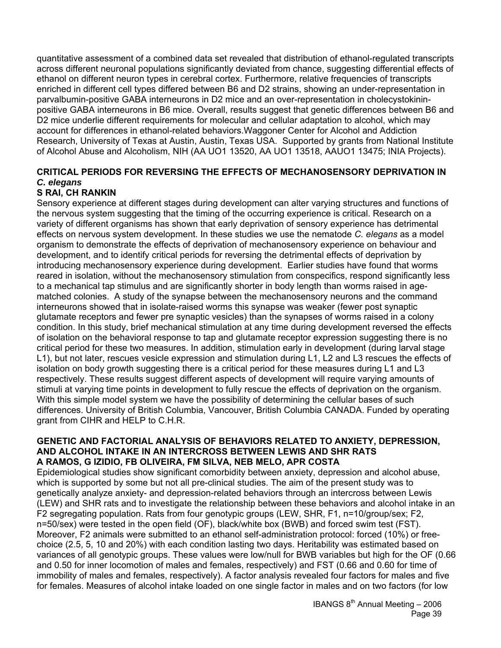quantitative assessment of a combined data set revealed that distribution of ethanol-regulated transcripts across different neuronal populations significantly deviated from chance, suggesting differential effects of ethanol on different neuron types in cerebral cortex. Furthermore, relative frequencies of transcripts enriched in different cell types differed between B6 and D2 strains, showing an under-representation in parvalbumin-positive GABA interneurons in D2 mice and an over-representation in cholecystokininpositive GABA interneurons in B6 mice. Overall, results suggest that genetic differences between B6 and D2 mice underlie different requirements for molecular and cellular adaptation to alcohol, which may account for differences in ethanol-related behaviors.Waggoner Center for Alcohol and Addiction Research, University of Texas at Austin, Austin, Texas USA. Supported by grants from National Institute of Alcohol Abuse and Alcoholism, NIH (AA UO1 13520, AA UO1 13518, AAUO1 13475; INIA Projects).

### **CRITICAL PERIODS FOR REVERSING THE EFFECTS OF MECHANOSENSORY DEPRIVATION IN**  *C. elegans*

### **S RAI, CH RANKIN**

Sensory experience at different stages during development can alter varying structures and functions of the nervous system suggesting that the timing of the occurring experience is critical. Research on a variety of different organisms has shown that early deprivation of sensory experience has detrimental effects on nervous system development. In these studies we use the nematode *C. elegans* as a model organism to demonstrate the effects of deprivation of mechanosensory experience on behaviour and development, and to identify critical periods for reversing the detrimental effects of deprivation by introducing mechanosensory experience during development. Earlier studies have found that worms reared in isolation, without the mechanosensory stimulation from conspecifics, respond significantly less to a mechanical tap stimulus and are significantly shorter in body length than worms raised in agematched colonies. A study of the synapse between the mechanosensory neurons and the command interneurons showed that in isolate-raised worms this synapse was weaker (fewer post synaptic glutamate receptors and fewer pre synaptic vesicles) than the synapses of worms raised in a colony condition. In this study, brief mechanical stimulation at any time during development reversed the effects of isolation on the behavioral response to tap and glutamate receptor expression suggesting there is no critical period for these two measures. In addition, stimulation early in development (during larval stage L1), but not later, rescues vesicle expression and stimulation during L1, L2 and L3 rescues the effects of isolation on body growth suggesting there is a critical period for these measures during L1 and L3 respectively. These results suggest different aspects of development will require varying amounts of stimuli at varying time points in development to fully rescue the effects of deprivation on the organism. With this simple model system we have the possibility of determining the cellular bases of such differences. University of British Columbia, Vancouver, British Columbia CANADA. Funded by operating grant from CIHR and HELP to C.H.R.

#### **GENETIC AND FACTORIAL ANALYSIS OF BEHAVIORS RELATED TO ANXIETY, DEPRESSION, AND ALCOHOL INTAKE IN AN INTERCROSS BETWEEN LEWIS AND SHR RATS A RAMOS, G IZIDIO, FB OLIVEIRA, FM SILVA, NEB MELO, APR COSTA**

Epidemiological studies show significant comorbidity between anxiety, depression and alcohol abuse, which is supported by some but not all pre-clinical studies. The aim of the present study was to genetically analyze anxiety- and depression-related behaviors through an intercross between Lewis (LEW) and SHR rats and to investigate the relationship between these behaviors and alcohol intake in an F2 segregating population. Rats from four genotypic groups (LEW, SHR, F1, n=10/group/sex; F2, n=50/sex) were tested in the open field (OF), black/white box (BWB) and forced swim test (FST). Moreover, F2 animals were submitted to an ethanol self-administration protocol: forced (10%) or freechoice (2.5, 5, 10 and 20%) with each condition lasting two days. Heritability was estimated based on variances of all genotypic groups. These values were low/null for BWB variables but high for the OF (0.66 and 0.50 for inner locomotion of males and females, respectively) and FST (0.66 and 0.60 for time of immobility of males and females, respectively). A factor analysis revealed four factors for males and five for females. Measures of alcohol intake loaded on one single factor in males and on two factors (for low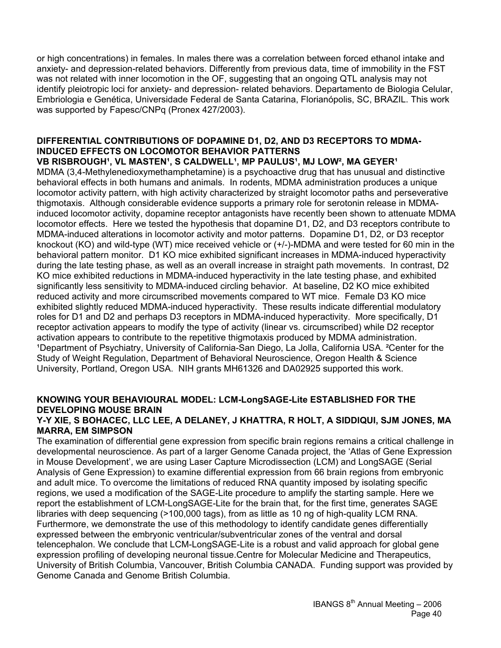or high concentrations) in females. In males there was a correlation between forced ethanol intake and anxiety- and depression-related behaviors. Differently from previous data, time of immobility in the FST was not related with inner locomotion in the OF, suggesting that an ongoing QTL analysis may not identify pleiotropic loci for anxiety- and depression- related behaviors. Departamento de Biologia Celular, Embriologia e Genética, Universidade Federal de Santa Catarina, Florianópolis, SC, BRAZIL. This work was supported by Fapesc/CNPq (Pronex 427/2003).

### **DIFFERENTIAL CONTRIBUTIONS OF DOPAMINE D1, D2, AND D3 RECEPTORS TO MDMA-INDUCED EFFECTS ON LOCOMOTOR BEHAVIOR PATTERNS**

VB RISBROUGH<sup>1</sup>, VL MASTEN<sup>1</sup>, S CALDWELL<sup>1</sup>, MP PAULUS<sup>1</sup>, MJ LOW<sup>2</sup>, MA GEYER<sup>1</sup> MDMA (3,4-Methylenedioxymethamphetamine) is a psychoactive drug that has unusual and distinctive behavioral effects in both humans and animals. In rodents, MDMA administration produces a unique locomotor activity pattern, with high activity characterized by straight locomotor paths and perseverative thigmotaxis. Although considerable evidence supports a primary role for serotonin release in MDMAinduced locomotor activity, dopamine receptor antagonists have recently been shown to attenuate MDMA locomotor effects. Here we tested the hypothesis that dopamine D1, D2, and D3 receptors contribute to MDMA-induced alterations in locomotor activity and motor patterns. Dopamine D1, D2, or D3 receptor knockout (KO) and wild-type (WT) mice received vehicle or (+/-)-MDMA and were tested for 60 min in the behavioral pattern monitor. D1 KO mice exhibited significant increases in MDMA-induced hyperactivity during the late testing phase, as well as an overall increase in straight path movements. In contrast, D2 KO mice exhibited reductions in MDMA-induced hyperactivity in the late testing phase, and exhibited significantly less sensitivity to MDMA-induced circling behavior. At baseline, D2 KO mice exhibited reduced activity and more circumscribed movements compared to WT mice. Female D3 KO mice exhibited slightly reduced MDMA-induced hyperactivity. These results indicate differential modulatory roles for D1 and D2 and perhaps D3 receptors in MDMA-induced hyperactivity. More specifically, D1 receptor activation appears to modify the type of activity (linear vs. circumscribed) while D2 receptor activation appears to contribute to the repetitive thigmotaxis produced by MDMA administration. 1Department of Psychiatry, University of California-San Diego, La Jolla, California USA. <sup>2</sup>Center for the Study of Weight Regulation, Department of Behavioral Neuroscience, Oregon Health & Science University, Portland, Oregon USA. NIH grants MH61326 and DA02925 supported this work.

### **KNOWING YOUR BEHAVIOURAL MODEL: LCM-LongSAGE-Lite ESTABLISHED FOR THE DEVELOPING MOUSE BRAIN**

#### **Y-Y XIE, S BOHACEC, LLC LEE, A DELANEY, J KHATTRA, R HOLT, A SIDDIQUI, SJM JONES, MA MARRA, EM SIMPSON**

The examination of differential gene expression from specific brain regions remains a critical challenge in developmental neuroscience. As part of a larger Genome Canada project, the 'Atlas of Gene Expression in Mouse Development', we are using Laser Capture Microdissection (LCM) and LongSAGE (Serial Analysis of Gene Expression) to examine differential expression from 66 brain regions from embryonic and adult mice. To overcome the limitations of reduced RNA quantity imposed by isolating specific regions, we used a modification of the SAGE-Lite procedure to amplify the starting sample. Here we report the establishment of LCM-LongSAGE-Lite for the brain that, for the first time, generates SAGE libraries with deep sequencing (>100,000 tags), from as little as 10 ng of high-quality LCM RNA. Furthermore, we demonstrate the use of this methodology to identify candidate genes differentially expressed between the embryonic ventricular/subventricular zones of the ventral and dorsal telencephalon. We conclude that LCM-LongSAGE-Lite is a robust and valid approach for global gene expression profiling of developing neuronal tissue.Centre for Molecular Medicine and Therapeutics, University of British Columbia, Vancouver, British Columbia CANADA. Funding support was provided by Genome Canada and Genome British Columbia.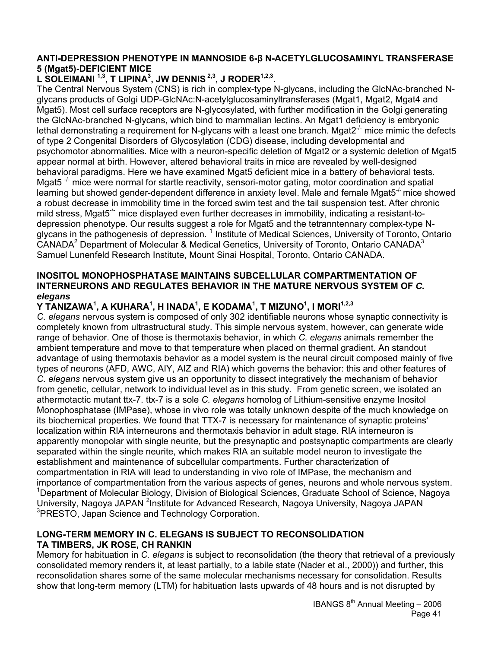#### **ANTI-DEPRESSION PHENOTYPE IN MANNOSIDE 6-β N-ACETYLGLUCOSAMINYL TRANSFERASE 5 (Mgat5)-DEFICIENT MICE**

### L SOLEIMANI <sup>1,3</sup>, T LIPINA<sup>3</sup>, JW DENNIS <sup>2,3</sup>, J RODER<sup>1,2,3</sup>.

The Central Nervous System (CNS) is rich in complex-type N-glycans, including the GlcNAc-branched Nglycans products of Golgi UDP-GlcNAc:N-acetylglucosaminyltransferases (Mgat1, Mgat2, Mgat4 and Mgat5). Most cell surface receptors are N-glycosylated, with further modification in the Golgi generating the GlcNAc-branched N-glycans, which bind to mammalian lectins. An Mgat1 deficiency is embryonic lethal demonstrating a requirement for N-glycans with a least one branch. Mgat $2^{-/-}$  mice mimic the defects of type 2 Congenital Disorders of Glycosylation (CDG) disease, including developmental and psychomotor abnormalities. Mice with a neuron-specific deletion of Mgat2 or a systemic deletion of Mgat5 appear normal at birth. However, altered behavioral traits in mice are revealed by well-designed behavioral paradigms. Here we have examined Mgat5 deficient mice in a battery of behavioral tests. Mgat5 $\pm$  mice were normal for startle reactivity, sensori-motor gating, motor coordination and spatial learning but showed gender-dependent difference in anxiety level. Male and female Mgat5<sup>-/-</sup> mice showed a robust decrease in immobility time in the forced swim test and the tail suspension test. After chronic mild stress, Mgat $5<sup>-/-</sup>$  mice displayed even further decreases in immobility, indicating a resistant-todepression phenotype. Our results suggest a role for Mgat5 and the tetranntennary complex-type Nglycans in the pathogenesis of depression. <sup>1</sup> Institute of Medical Sciences, University of Toronto, Ontario CANADA<sup>2</sup> Department of Molecular & Medical Genetics, University of Toronto, Ontario CANADA<sup>3</sup> Samuel Lunenfeld Research Institute, Mount Sinai Hospital, Toronto, Ontario CANADA.

#### **INOSITOL MONOPHOSPHATASE MAINTAINS SUBCELLULAR COMPARTMENTATION OF INTERNEURONS AND REGULATES BEHAVIOR IN THE MATURE NERVOUS SYSTEM OF** *C. elegans*

### Y TANIZAWA<sup>1</sup>, A KUHARA<sup>1</sup>, H INADA<sup>1</sup>, E KODAMA<sup>1</sup>, T MIZUNO<sup>1</sup>, I MORI<sup>1,2,3</sup>

*C. elegans* nervous system is composed of only 302 identifiable neurons whose synaptic connectivity is completely known from ultrastructural study. This simple nervous system, however, can generate wide range of behavior. One of those is thermotaxis behavior, in which *C. elegans* animals remember the ambient temperature and move to that temperature when placed on thermal gradient. An standout advantage of using thermotaxis behavior as a model system is the neural circuit composed mainly of five types of neurons (AFD, AWC, AIY, AIZ and RIA) which governs the behavior: this and other features of *C. elegans* nervous system give us an opportunity to dissect integratively the mechanism of behavior from genetic, cellular, network to individual level as in this study. From genetic screen, we isolated an athermotactic mutant ttx-7. ttx-7 is a sole *C. elegans* homolog of Lithium-sensitive enzyme Inositol Monophosphatase (IMPase), whose in vivo role was totally unknown despite of the much knowledge on its biochemical properties. We found that TTX-7 is necessary for maintenance of synaptic proteins' localization within RIA interneurons and thermotaxis behavior in adult stage. RIA interneuron is apparently monopolar with single neurite, but the presynaptic and postsynaptic compartments are clearly separated within the single neurite, which makes RIA an suitable model neuron to investigate the establishment and maintenance of subcellular compartments. Further characterization of compartmentation in RIA will lead to understanding in vivo role of IMPase, the mechanism and importance of compartmentation from the various aspects of genes, neurons and whole nervous system. <sup>1</sup>Department of Molecular Biology, Division of Biological Sciences, Graduate School of Science, Nagoya University, Nagoya JAPAN <sup>2</sup>Institute for Advanced Research, Nagoya University, Nagoya JAPAN <sup>3</sup>PRESTO, Japan Science and Technology Corporation.

### **LONG-TERM MEMORY IN C. ELEGANS IS SUBJECT TO RECONSOLIDATION TA TIMBERS, JK ROSE, CH RANKIN**

Memory for habituation in *C. elegans* is subject to reconsolidation (the theory that retrieval of a previously consolidated memory renders it, at least partially, to a labile state (Nader et al., 2000)) and further, this reconsolidation shares some of the same molecular mechanisms necessary for consolidation. Results show that long-term memory (LTM) for habituation lasts upwards of 48 hours and is not disrupted by